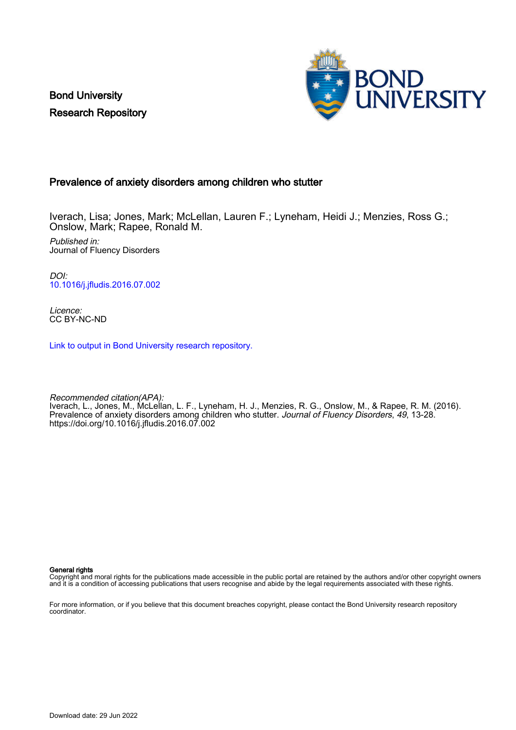Bond University Research Repository



## Prevalence of anxiety disorders among children who stutter

Iverach, Lisa; Jones, Mark; McLellan, Lauren F.; Lyneham, Heidi J.; Menzies, Ross G.; Onslow, Mark; Rapee, Ronald M.

Published in: Journal of Fluency Disorders

DOI: [10.1016/j.jfludis.2016.07.002](https://doi.org/10.1016/j.jfludis.2016.07.002)

Licence: CC BY-NC-ND

[Link to output in Bond University research repository.](https://research.bond.edu.au/en/publications/a5d8c190-b2d4-4d6e-8466-a7d509333ed6)

Recommended citation(APA): Iverach, L., Jones, M., McLellan, L. F., Lyneham, H. J., Menzies, R. G., Onslow, M., & Rapee, R. M. (2016). Prevalence of anxiety disorders among children who stutter. Journal of Fluency Disorders, 49, 13-28. <https://doi.org/10.1016/j.jfludis.2016.07.002>

General rights

Copyright and moral rights for the publications made accessible in the public portal are retained by the authors and/or other copyright owners and it is a condition of accessing publications that users recognise and abide by the legal requirements associated with these rights.

For more information, or if you believe that this document breaches copyright, please contact the Bond University research repository coordinator.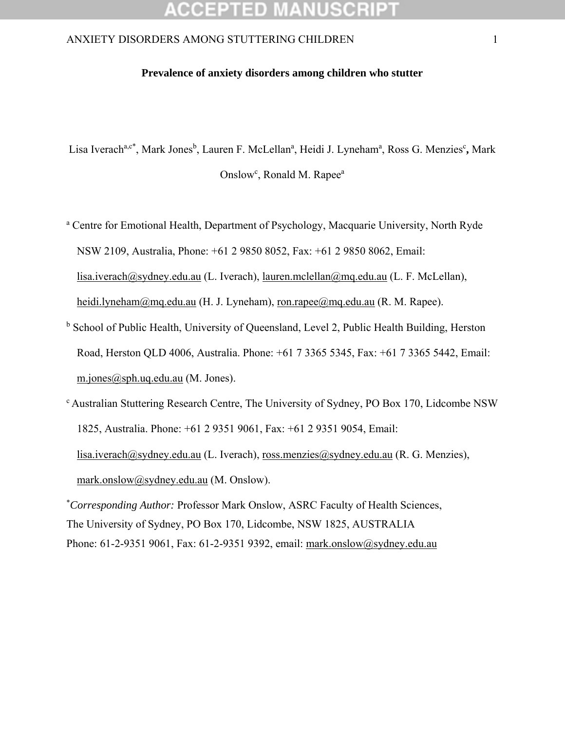## ANXIETY DISORDERS AMONG STUTTERING CHILDREN 1

## **Prevalence of anxiety disorders among children who stutter**

Lisa Iverach<sup>a,c\*</sup>, Mark Jones<sup>b</sup>, Lauren F. McLellan<sup>a</sup>, Heidi J. Lyneham<sup>a</sup>, Ross G. Menzies<sup>c</sup>, Mark Onslow<sup>c</sup>, Ronald M. Rapee<sup>a</sup>

<sup>a</sup> Centre for Emotional Health, Department of Psychology, Macquarie University, North Ryde NSW 2109, Australia, Phone: +61 2 9850 8052, Fax: +61 2 9850 8062, Email: lisa.iverach@sydney.edu.au (L. Iverach), lauren.mclellan@mq.edu.au (L. F. McLellan), heidi.lyneham@mq.edu.au (H. J. Lyneham), ron.rapee@mq.edu.au (R. M. Rapee).

- <sup>b</sup> School of Public Health, University of Queensland, Level 2, Public Health Building, Herston Road, Herston QLD 4006, Australia. Phone: +61 7 3365 5345, Fax: +61 7 3365 5442, Email: m.jones@sph.uq.edu.au (M. Jones).
- c Australian Stuttering Research Centre, The University of Sydney, PO Box 170, Lidcombe NSW 1825, Australia. Phone: +61 2 9351 9061, Fax: +61 2 9351 9054, Email: lisa.iverach@sydney.edu.au (L. Iverach), ross.menzies@sydney.edu.au (R. G. Menzies), mark.onslow@sydney.edu.au (M. Onslow).

\* *Corresponding Author:* Professor Mark Onslow, ASRC Faculty of Health Sciences, The University of Sydney, PO Box 170, Lidcombe, NSW 1825, AUSTRALIA Phone: 61-2-9351 9061, Fax: 61-2-9351 9392, email: mark.onslow@sydney.edu.au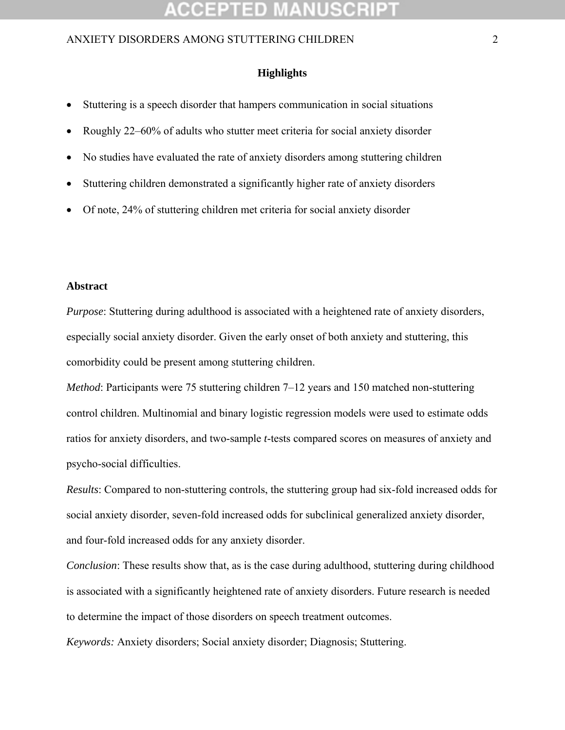### **Highlights**

- Stuttering is a speech disorder that hampers communication in social situations
- Roughly 22–60% of adults who stutter meet criteria for social anxiety disorder
- No studies have evaluated the rate of anxiety disorders among stuttering children
- Stuttering children demonstrated a significantly higher rate of anxiety disorders
- Of note, 24% of stuttering children met criteria for social anxiety disorder

## **Abstract**

*Purpose*: Stuttering during adulthood is associated with a heightened rate of anxiety disorders, especially social anxiety disorder. Given the early onset of both anxiety and stuttering, this comorbidity could be present among stuttering children.

*Method*: Participants were 75 stuttering children 7–12 years and 150 matched non-stuttering control children. Multinomial and binary logistic regression models were used to estimate odds ratios for anxiety disorders, and two-sample *t*-tests compared scores on measures of anxiety and psycho-social difficulties.

*Results*: Compared to non-stuttering controls, the stuttering group had six-fold increased odds for social anxiety disorder, seven-fold increased odds for subclinical generalized anxiety disorder, and four-fold increased odds for any anxiety disorder.

*Conclusion*: These results show that, as is the case during adulthood, stuttering during childhood is associated with a significantly heightened rate of anxiety disorders. Future research is needed to determine the impact of those disorders on speech treatment outcomes.

*Keywords:* Anxiety disorders; Social anxiety disorder; Diagnosis; Stuttering.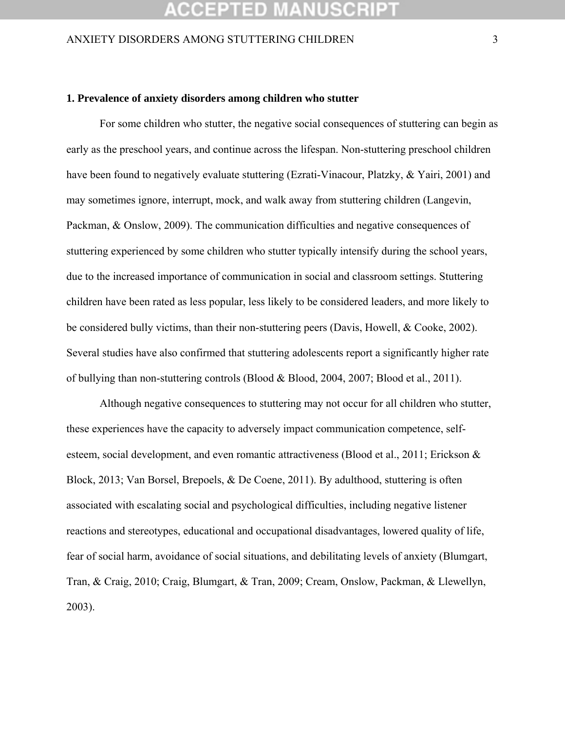### ANXIETY DISORDERS AMONG STUTTERING CHILDREN 3

## **1. Prevalence of anxiety disorders among children who stutter**

For some children who stutter, the negative social consequences of stuttering can begin as early as the preschool years, and continue across the lifespan. Non-stuttering preschool children have been found to negatively evaluate stuttering (Ezrati-Vinacour, Platzky, & Yairi, 2001) and may sometimes ignore, interrupt, mock, and walk away from stuttering children (Langevin, Packman, & Onslow, 2009). The communication difficulties and negative consequences of stuttering experienced by some children who stutter typically intensify during the school years, due to the increased importance of communication in social and classroom settings. Stuttering children have been rated as less popular, less likely to be considered leaders, and more likely to be considered bully victims, than their non-stuttering peers (Davis, Howell, & Cooke, 2002). Several studies have also confirmed that stuttering adolescents report a significantly higher rate of bullying than non-stuttering controls (Blood & Blood, 2004, 2007; Blood et al., 2011).

Although negative consequences to stuttering may not occur for all children who stutter, these experiences have the capacity to adversely impact communication competence, selfesteem, social development, and even romantic attractiveness (Blood et al., 2011; Erickson & Block, 2013; Van Borsel, Brepoels, & De Coene, 2011). By adulthood, stuttering is often associated with escalating social and psychological difficulties, including negative listener reactions and stereotypes, educational and occupational disadvantages, lowered quality of life, fear of social harm, avoidance of social situations, and debilitating levels of anxiety (Blumgart, Tran, & Craig, 2010; Craig, Blumgart, & Tran, 2009; Cream, Onslow, Packman, & Llewellyn, 2003).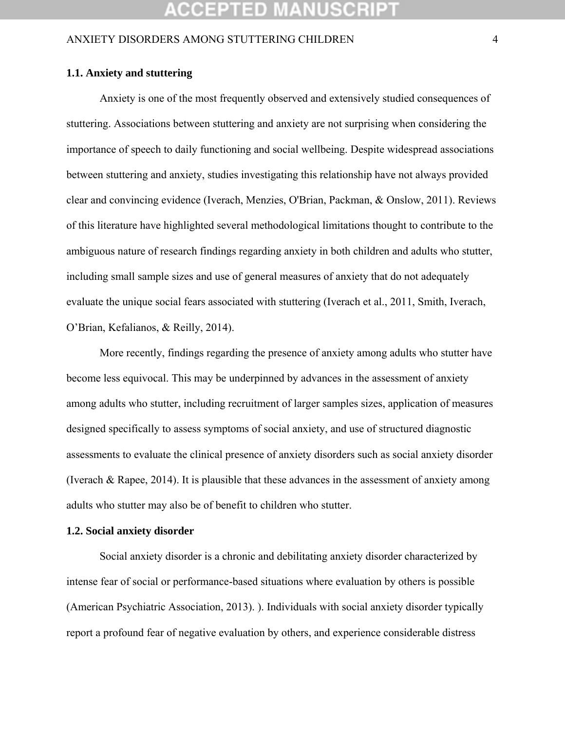## **1.1. Anxiety and stuttering**

Anxiety is one of the most frequently observed and extensively studied consequences of stuttering. Associations between stuttering and anxiety are not surprising when considering the importance of speech to daily functioning and social wellbeing. Despite widespread associations between stuttering and anxiety, studies investigating this relationship have not always provided clear and convincing evidence (Iverach, Menzies, O'Brian, Packman, & Onslow, 2011). Reviews of this literature have highlighted several methodological limitations thought to contribute to the ambiguous nature of research findings regarding anxiety in both children and adults who stutter, including small sample sizes and use of general measures of anxiety that do not adequately evaluate the unique social fears associated with stuttering (Iverach et al., 2011, Smith, Iverach, O'Brian, Kefalianos, & Reilly, 2014).

More recently, findings regarding the presence of anxiety among adults who stutter have become less equivocal. This may be underpinned by advances in the assessment of anxiety among adults who stutter, including recruitment of larger samples sizes, application of measures designed specifically to assess symptoms of social anxiety, and use of structured diagnostic assessments to evaluate the clinical presence of anxiety disorders such as social anxiety disorder (Iverach & Rapee, 2014). It is plausible that these advances in the assessment of anxiety among adults who stutter may also be of benefit to children who stutter.

### **1.2. Social anxiety disorder**

Social anxiety disorder is a chronic and debilitating anxiety disorder characterized by intense fear of social or performance-based situations where evaluation by others is possible (American Psychiatric Association, 2013). ). Individuals with social anxiety disorder typically report a profound fear of negative evaluation by others, and experience considerable distress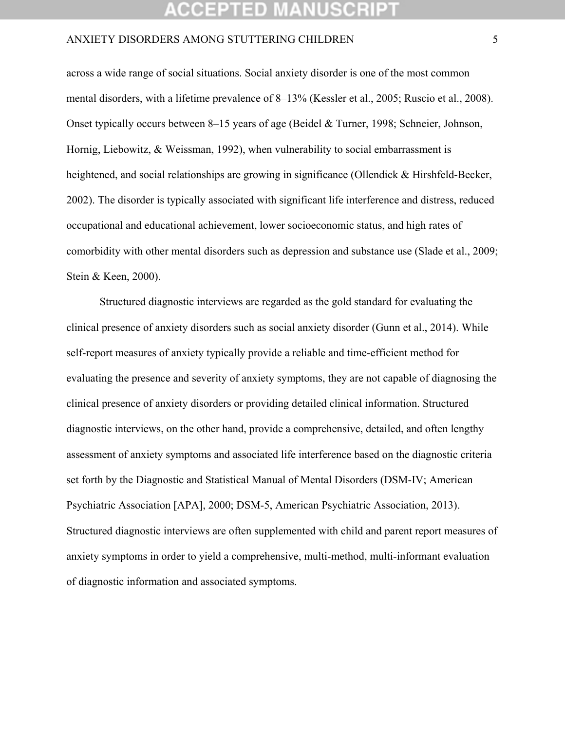## ANXIETY DISORDERS AMONG STUTTERING CHILDREN 5

across a wide range of social situations. Social anxiety disorder is one of the most common mental disorders, with a lifetime prevalence of 8–13% (Kessler et al., 2005; Ruscio et al., 2008). Onset typically occurs between 8–15 years of age (Beidel & Turner, 1998; Schneier, Johnson, Hornig, Liebowitz, & Weissman, 1992), when vulnerability to social embarrassment is heightened, and social relationships are growing in significance (Ollendick & Hirshfeld-Becker, 2002). The disorder is typically associated with significant life interference and distress, reduced occupational and educational achievement, lower socioeconomic status, and high rates of comorbidity with other mental disorders such as depression and substance use (Slade et al., 2009; Stein & Keen, 2000).

Structured diagnostic interviews are regarded as the gold standard for evaluating the clinical presence of anxiety disorders such as social anxiety disorder (Gunn et al., 2014). While self-report measures of anxiety typically provide a reliable and time-efficient method for evaluating the presence and severity of anxiety symptoms, they are not capable of diagnosing the clinical presence of anxiety disorders or providing detailed clinical information. Structured diagnostic interviews, on the other hand, provide a comprehensive, detailed, and often lengthy assessment of anxiety symptoms and associated life interference based on the diagnostic criteria set forth by the Diagnostic and Statistical Manual of Mental Disorders (DSM-IV; American Psychiatric Association [APA], 2000; DSM-5, American Psychiatric Association, 2013). Structured diagnostic interviews are often supplemented with child and parent report measures of anxiety symptoms in order to yield a comprehensive, multi-method, multi-informant evaluation of diagnostic information and associated symptoms.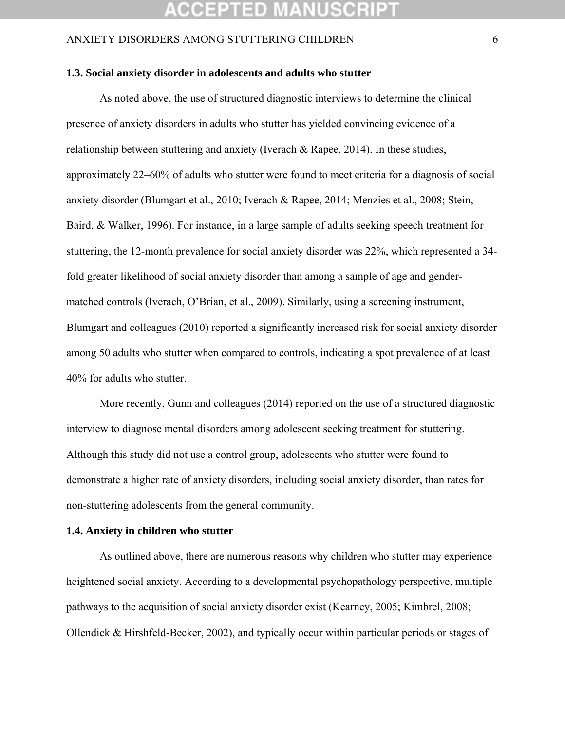### ANXIETY DISORDERS AMONG STUTTERING CHILDREN 6

### **1.3. Social anxiety disorder in adolescents and adults who stutter**

As noted above, the use of structured diagnostic interviews to determine the clinical presence of anxiety disorders in adults who stutter has yielded convincing evidence of a relationship between stuttering and anxiety (Iverach & Rapee, 2014). In these studies, approximately 22–60% of adults who stutter were found to meet criteria for a diagnosis of social anxiety disorder (Blumgart et al., 2010; Iverach & Rapee, 2014; Menzies et al., 2008; Stein, Baird, & Walker, 1996). For instance, in a large sample of adults seeking speech treatment for stuttering, the 12-month prevalence for social anxiety disorder was 22%, which represented a 34 fold greater likelihood of social anxiety disorder than among a sample of age and gendermatched controls (Iverach, O'Brian, et al., 2009). Similarly, using a screening instrument, Blumgart and colleagues (2010) reported a significantly increased risk for social anxiety disorder among 50 adults who stutter when compared to controls, indicating a spot prevalence of at least 40% for adults who stutter.

More recently, Gunn and colleagues (2014) reported on the use of a structured diagnostic interview to diagnose mental disorders among adolescent seeking treatment for stuttering. Although this study did not use a control group, adolescents who stutter were found to demonstrate a higher rate of anxiety disorders, including social anxiety disorder, than rates for non-stuttering adolescents from the general community.

### **1.4. Anxiety in children who stutter**

As outlined above, there are numerous reasons why children who stutter may experience heightened social anxiety. According to a developmental psychopathology perspective, multiple pathways to the acquisition of social anxiety disorder exist (Kearney, 2005; Kimbrel, 2008; Ollendick & Hirshfeld-Becker, 2002), and typically occur within particular periods or stages of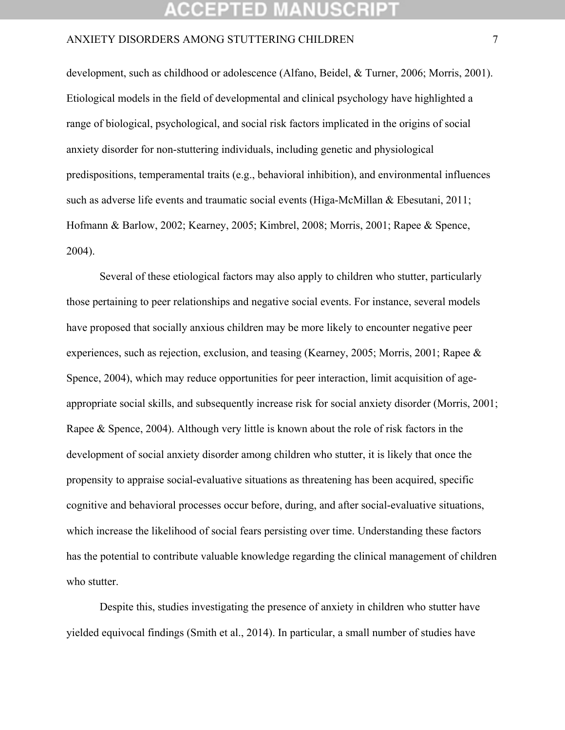## ANXIETY DISORDERS AMONG STUTTERING CHILDREN 7

development, such as childhood or adolescence (Alfano, Beidel, & Turner, 2006; Morris, 2001). Etiological models in the field of developmental and clinical psychology have highlighted a range of biological, psychological, and social risk factors implicated in the origins of social anxiety disorder for non-stuttering individuals, including genetic and physiological predispositions, temperamental traits (e.g., behavioral inhibition), and environmental influences such as adverse life events and traumatic social events (Higa-McMillan & Ebesutani, 2011; Hofmann & Barlow, 2002; Kearney, 2005; Kimbrel, 2008; Morris, 2001; Rapee & Spence, 2004).

Several of these etiological factors may also apply to children who stutter, particularly those pertaining to peer relationships and negative social events. For instance, several models have proposed that socially anxious children may be more likely to encounter negative peer experiences, such as rejection, exclusion, and teasing (Kearney, 2005; Morris, 2001; Rapee & Spence, 2004), which may reduce opportunities for peer interaction, limit acquisition of ageappropriate social skills, and subsequently increase risk for social anxiety disorder (Morris, 2001; Rapee & Spence, 2004). Although very little is known about the role of risk factors in the development of social anxiety disorder among children who stutter, it is likely that once the propensity to appraise social-evaluative situations as threatening has been acquired, specific cognitive and behavioral processes occur before, during, and after social-evaluative situations, which increase the likelihood of social fears persisting over time. Understanding these factors has the potential to contribute valuable knowledge regarding the clinical management of children who stutter.

Despite this, studies investigating the presence of anxiety in children who stutter have yielded equivocal findings (Smith et al., 2014). In particular, a small number of studies have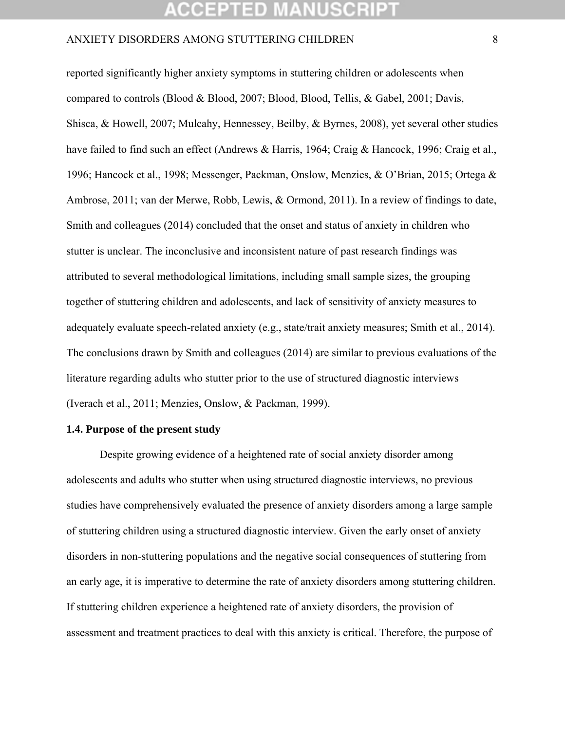## ANXIETY DISORDERS AMONG STUTTERING CHILDREN 8

reported significantly higher anxiety symptoms in stuttering children or adolescents when compared to controls (Blood & Blood, 2007; Blood, Blood, Tellis, & Gabel, 2001; Davis, Shisca, & Howell, 2007; Mulcahy, Hennessey, Beilby, & Byrnes, 2008), yet several other studies have failed to find such an effect (Andrews & Harris, 1964; Craig & Hancock, 1996; Craig et al., 1996; Hancock et al., 1998; Messenger, Packman, Onslow, Menzies, & O'Brian, 2015; Ortega & Ambrose, 2011; van der Merwe, Robb, Lewis, & Ormond, 2011). In a review of findings to date, Smith and colleagues (2014) concluded that the onset and status of anxiety in children who stutter is unclear. The inconclusive and inconsistent nature of past research findings was attributed to several methodological limitations, including small sample sizes, the grouping together of stuttering children and adolescents, and lack of sensitivity of anxiety measures to adequately evaluate speech-related anxiety (e.g., state/trait anxiety measures; Smith et al., 2014). The conclusions drawn by Smith and colleagues (2014) are similar to previous evaluations of the literature regarding adults who stutter prior to the use of structured diagnostic interviews (Iverach et al., 2011; Menzies, Onslow, & Packman, 1999).

## **1.4. Purpose of the present study**

Despite growing evidence of a heightened rate of social anxiety disorder among adolescents and adults who stutter when using structured diagnostic interviews, no previous studies have comprehensively evaluated the presence of anxiety disorders among a large sample of stuttering children using a structured diagnostic interview. Given the early onset of anxiety disorders in non-stuttering populations and the negative social consequences of stuttering from an early age, it is imperative to determine the rate of anxiety disorders among stuttering children. If stuttering children experience a heightened rate of anxiety disorders, the provision of assessment and treatment practices to deal with this anxiety is critical. Therefore, the purpose of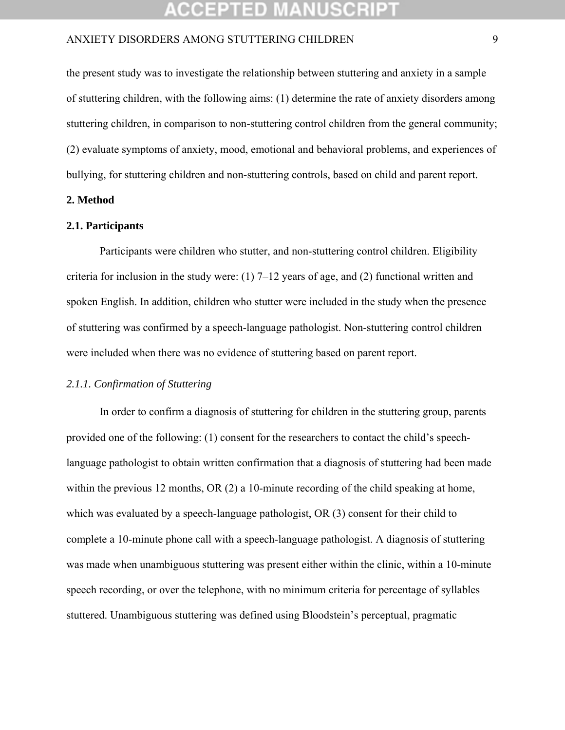## ANXIETY DISORDERS AMONG STUTTERING CHILDREN 9

the present study was to investigate the relationship between stuttering and anxiety in a sample of stuttering children, with the following aims: (1) determine the rate of anxiety disorders among stuttering children, in comparison to non-stuttering control children from the general community; (2) evaluate symptoms of anxiety, mood, emotional and behavioral problems, and experiences of bullying, for stuttering children and non-stuttering controls, based on child and parent report.

### **2. Method**

### **2.1. Participants**

Participants were children who stutter, and non-stuttering control children. Eligibility criteria for inclusion in the study were: (1) 7–12 years of age, and (2) functional written and spoken English. In addition, children who stutter were included in the study when the presence of stuttering was confirmed by a speech-language pathologist. Non-stuttering control children were included when there was no evidence of stuttering based on parent report.

## *2.1.1. Confirmation of Stuttering*

In order to confirm a diagnosis of stuttering for children in the stuttering group, parents provided one of the following: (1) consent for the researchers to contact the child's speechlanguage pathologist to obtain written confirmation that a diagnosis of stuttering had been made within the previous 12 months, OR (2) a 10-minute recording of the child speaking at home, which was evaluated by a speech-language pathologist, OR  $(3)$  consent for their child to complete a 10-minute phone call with a speech-language pathologist. A diagnosis of stuttering was made when unambiguous stuttering was present either within the clinic, within a 10-minute speech recording, or over the telephone, with no minimum criteria for percentage of syllables stuttered. Unambiguous stuttering was defined using Bloodstein's perceptual, pragmatic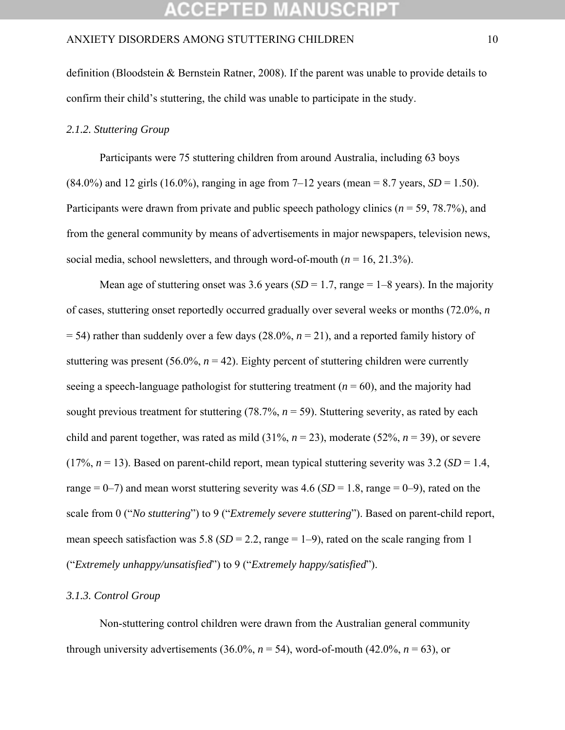## ANXIETY DISORDERS AMONG STUTTERING CHILDREN 10

definition (Bloodstein & Bernstein Ratner, 2008). If the parent was unable to provide details to confirm their child's stuttering, the child was unable to participate in the study.

### *2.1.2. Stuttering Group*

Participants were 75 stuttering children from around Australia, including 63 boys  $(84.0\%)$  and 12 girls  $(16.0\%)$ , ranging in age from  $7-12$  years (mean = 8.7 years,  $SD = 1.50$ ). Participants were drawn from private and public speech pathology clinics (*n* = 59, 78.7%), and from the general community by means of advertisements in major newspapers, television news, social media, school newsletters, and through word-of-mouth  $(n = 16, 21.3\%)$ .

Mean age of stuttering onset was 3.6 years  $(SD = 1.7)$ , range  $= 1-8$  years). In the majority of cases, stuttering onset reportedly occurred gradually over several weeks or months (72.0%, *n*  $=$  54) rather than suddenly over a few days (28.0%,  $n = 21$ ), and a reported family history of stuttering was present  $(56.0\%, n = 42)$ . Eighty percent of stuttering children were currently seeing a speech-language pathologist for stuttering treatment  $(n = 60)$ , and the majority had sought previous treatment for stuttering (78.7%, *n* = 59). Stuttering severity, as rated by each child and parent together, was rated as mild  $(31\%, n = 23)$ , moderate  $(52\%, n = 39)$ , or severe  $(17\%, n = 13)$ . Based on parent-child report, mean typical stuttering severity was  $3.2$  (*SD* = 1.4, range  $= 0-7$ ) and mean worst stuttering severity was  $4.6$  (*SD* = 1.8, range  $= 0-9$ ), rated on the scale from 0 ("*No stuttering*") to 9 ("*Extremely severe stuttering*"). Based on parent-child report, mean speech satisfaction was 5.8 ( $SD = 2.2$ , range  $= 1-9$ ), rated on the scale ranging from 1 ("*Extremely unhappy/unsatisfied*") to 9 ("*Extremely happy/satisfied*").

### *3.1.3. Control Group*

Non-stuttering control children were drawn from the Australian general community through university advertisements  $(36.0\%, n = 54)$ , word-of-mouth  $(42.0\%, n = 63)$ , or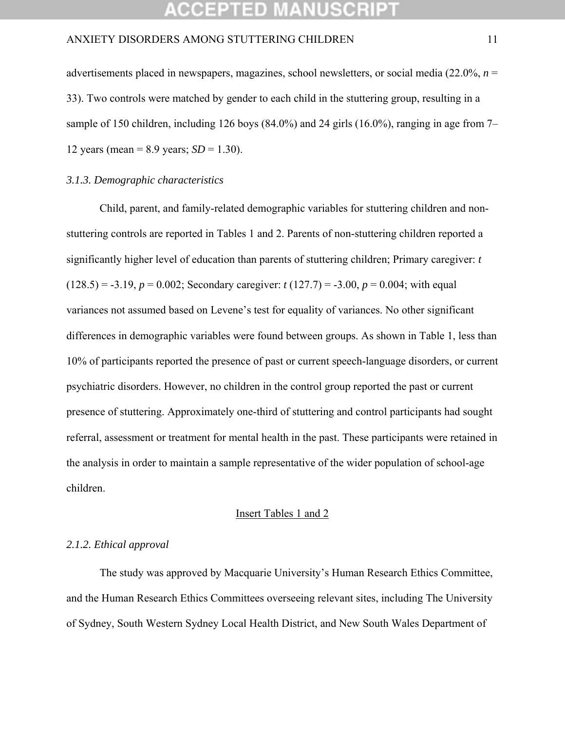### ANXIETY DISORDERS AMONG STUTTERING CHILDREN 11

advertisements placed in newspapers, magazines, school newsletters, or social media (22.0%, *n* = 33). Two controls were matched by gender to each child in the stuttering group, resulting in a sample of 150 children, including 126 boys  $(84.0\%)$  and 24 girls  $(16.0\%)$ , ranging in age from 7– 12 years (mean =  $8.9$  years; *SD* = 1.30).

## *3.1.3. Demographic characteristics*

Child, parent, and family-related demographic variables for stuttering children and nonstuttering controls are reported in Tables 1 and 2. Parents of non-stuttering children reported a significantly higher level of education than parents of stuttering children; Primary caregiver: *t*  $(128.5) = -3.19$ ,  $p = 0.002$ ; Secondary caregiver:  $t(127.7) = -3.00$ ,  $p = 0.004$ ; with equal variances not assumed based on Levene's test for equality of variances. No other significant differences in demographic variables were found between groups. As shown in Table 1, less than 10% of participants reported the presence of past or current speech-language disorders, or current psychiatric disorders. However, no children in the control group reported the past or current presence of stuttering. Approximately one-third of stuttering and control participants had sought referral, assessment or treatment for mental health in the past. These participants were retained in the analysis in order to maintain a sample representative of the wider population of school-age children.

## Insert Tables 1 and 2

### *2.1.2. Ethical approval*

The study was approved by Macquarie University's Human Research Ethics Committee, and the Human Research Ethics Committees overseeing relevant sites, including The University of Sydney, South Western Sydney Local Health District, and New South Wales Department of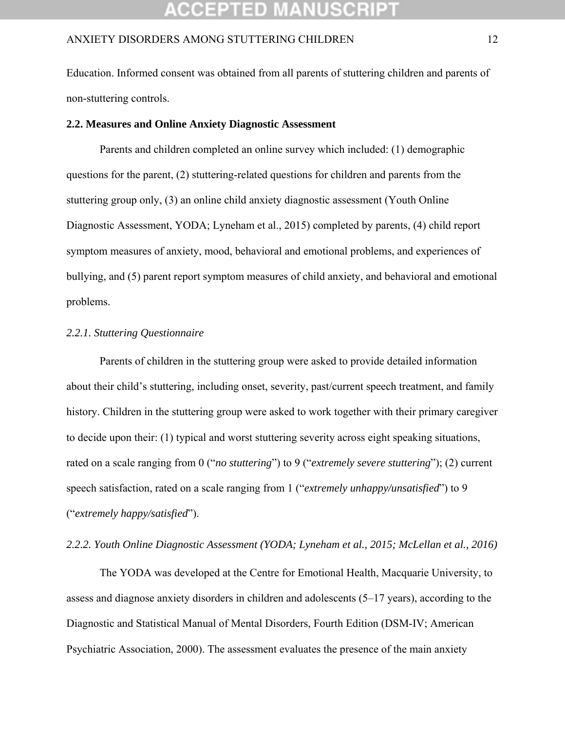## ANXIETY DISORDERS AMONG STUTTERING CHILDREN 12

Education. Informed consent was obtained from all parents of stuttering children and parents of non-stuttering controls.

## **2.2. Measures and Online Anxiety Diagnostic Assessment**

Parents and children completed an online survey which included: (1) demographic questions for the parent, (2) stuttering-related questions for children and parents from the stuttering group only, (3) an online child anxiety diagnostic assessment (Youth Online Diagnostic Assessment, YODA; Lyneham et al., 2015) completed by parents, (4) child report symptom measures of anxiety, mood, behavioral and emotional problems, and experiences of bullying, and (5) parent report symptom measures of child anxiety, and behavioral and emotional problems.

## *2.2.1. Stuttering Questionnaire*

Parents of children in the stuttering group were asked to provide detailed information about their child's stuttering, including onset, severity, past/current speech treatment, and family history. Children in the stuttering group were asked to work together with their primary caregiver to decide upon their: (1) typical and worst stuttering severity across eight speaking situations, rated on a scale ranging from 0 ("*no stuttering*") to 9 ("*extremely severe stuttering*"); (2) current speech satisfaction, rated on a scale ranging from 1 ("*extremely unhappy/unsatisfied*") to 9 ("*extremely happy/satisfied*").

### *2.2.2. Youth Online Diagnostic Assessment (YODA; Lyneham et al., 2015; McLellan et al., 2016)*

The YODA was developed at the Centre for Emotional Health, Macquarie University, to assess and diagnose anxiety disorders in children and adolescents (5–17 years), according to the Diagnostic and Statistical Manual of Mental Disorders, Fourth Edition (DSM-IV; American Psychiatric Association, 2000). The assessment evaluates the presence of the main anxiety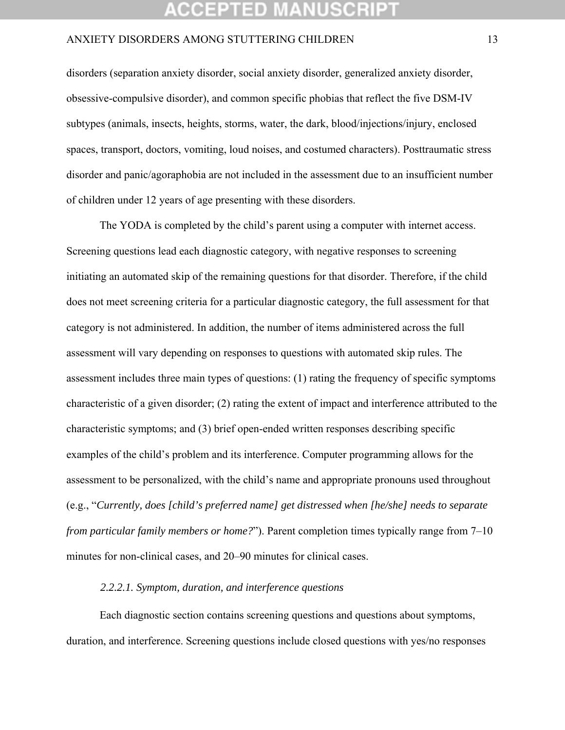### ANXIETY DISORDERS AMONG STUTTERING CHILDREN 13

disorders (separation anxiety disorder, social anxiety disorder, generalized anxiety disorder, obsessive-compulsive disorder), and common specific phobias that reflect the five DSM-IV subtypes (animals, insects, heights, storms, water, the dark, blood/injections/injury, enclosed spaces, transport, doctors, vomiting, loud noises, and costumed characters). Posttraumatic stress disorder and panic/agoraphobia are not included in the assessment due to an insufficient number of children under 12 years of age presenting with these disorders.

The YODA is completed by the child's parent using a computer with internet access. Screening questions lead each diagnostic category, with negative responses to screening initiating an automated skip of the remaining questions for that disorder. Therefore, if the child does not meet screening criteria for a particular diagnostic category, the full assessment for that category is not administered. In addition, the number of items administered across the full assessment will vary depending on responses to questions with automated skip rules. The assessment includes three main types of questions: (1) rating the frequency of specific symptoms characteristic of a given disorder; (2) rating the extent of impact and interference attributed to the characteristic symptoms; and (3) brief open-ended written responses describing specific examples of the child's problem and its interference. Computer programming allows for the assessment to be personalized, with the child's name and appropriate pronouns used throughout (e.g., "*Currently, does [child's preferred name] get distressed when [he/she] needs to separate from particular family members or home?*"). Parent completion times typically range from 7–10 minutes for non-clinical cases, and 20–90 minutes for clinical cases.

## *2.2.2.1. Symptom, duration, and interference questions*

Each diagnostic section contains screening questions and questions about symptoms, duration, and interference. Screening questions include closed questions with yes/no responses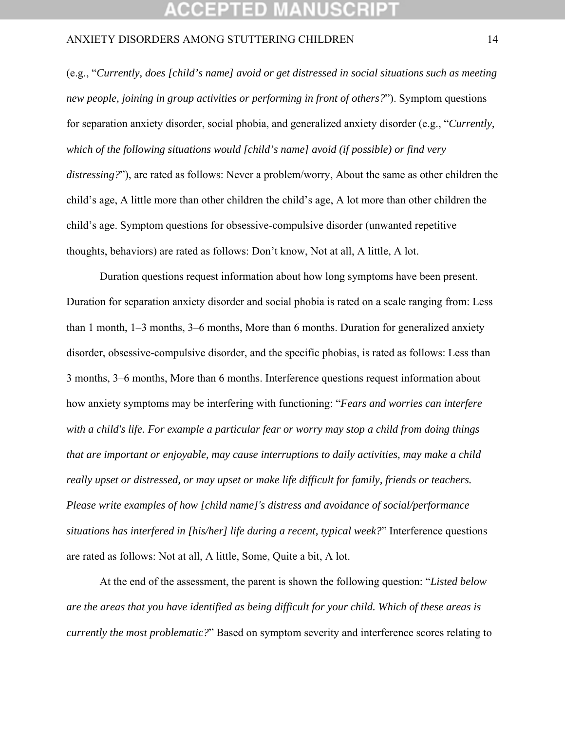### ANXIETY DISORDERS AMONG STUTTERING CHILDREN 14

(e.g., "*Currently, does [child's name] avoid or get distressed in social situations such as meeting new people, joining in group activities or performing in front of others?*"). Symptom questions for separation anxiety disorder, social phobia, and generalized anxiety disorder (e.g., "*Currently, which of the following situations would [child's name] avoid (if possible) or find very distressing?*"), are rated as follows: Never a problem/worry, About the same as other children the child's age, A little more than other children the child's age, A lot more than other children the child's age. Symptom questions for obsessive-compulsive disorder (unwanted repetitive thoughts, behaviors) are rated as follows: Don't know, Not at all, A little, A lot.

Duration questions request information about how long symptoms have been present. Duration for separation anxiety disorder and social phobia is rated on a scale ranging from: Less than 1 month, 1–3 months, 3–6 months, More than 6 months. Duration for generalized anxiety disorder, obsessive-compulsive disorder, and the specific phobias, is rated as follows: Less than 3 months, 3–6 months, More than 6 months. Interference questions request information about how anxiety symptoms may be interfering with functioning: "*Fears and worries can interfere with a child's life. For example a particular fear or worry may stop a child from doing things that are important or enjoyable, may cause interruptions to daily activities, may make a child really upset or distressed, or may upset or make life difficult for family, friends or teachers. Please write examples of how [child name]'s distress and avoidance of social/performance situations has interfered in [his/her] life during a recent, typical week?*" Interference questions are rated as follows: Not at all, A little, Some, Quite a bit, A lot.

At the end of the assessment, the parent is shown the following question: "*Listed below are the areas that you have identified as being difficult for your child. Which of these areas is currently the most problematic?*" Based on symptom severity and interference scores relating to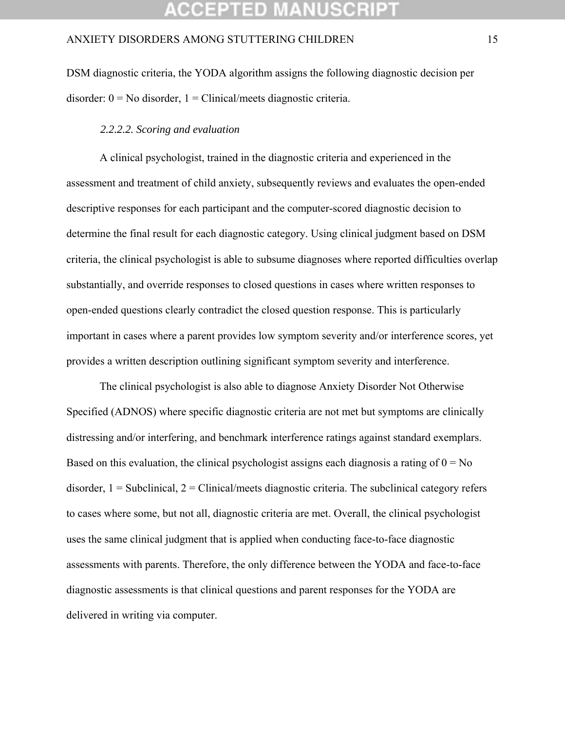## ANXIETY DISORDERS AMONG STUTTERING CHILDREN 15

DSM diagnostic criteria, the YODA algorithm assigns the following diagnostic decision per disorder:  $0 = No$  disorder,  $1 = Clinical/meets$  diagnostic criteria.

## *2.2.2.2. Scoring and evaluation*

A clinical psychologist, trained in the diagnostic criteria and experienced in the assessment and treatment of child anxiety, subsequently reviews and evaluates the open-ended descriptive responses for each participant and the computer-scored diagnostic decision to determine the final result for each diagnostic category. Using clinical judgment based on DSM criteria, the clinical psychologist is able to subsume diagnoses where reported difficulties overlap substantially, and override responses to closed questions in cases where written responses to open-ended questions clearly contradict the closed question response. This is particularly important in cases where a parent provides low symptom severity and/or interference scores, yet provides a written description outlining significant symptom severity and interference.

The clinical psychologist is also able to diagnose Anxiety Disorder Not Otherwise Specified (ADNOS) where specific diagnostic criteria are not met but symptoms are clinically distressing and/or interfering, and benchmark interference ratings against standard exemplars. Based on this evaluation, the clinical psychologist assigns each diagnosis a rating of  $0 = No$ disorder,  $1 =$  Subclinical,  $2 =$  Clinical/meets diagnostic criteria. The subclinical category refers to cases where some, but not all, diagnostic criteria are met. Overall, the clinical psychologist uses the same clinical judgment that is applied when conducting face-to-face diagnostic assessments with parents. Therefore, the only difference between the YODA and face-to-face diagnostic assessments is that clinical questions and parent responses for the YODA are delivered in writing via computer.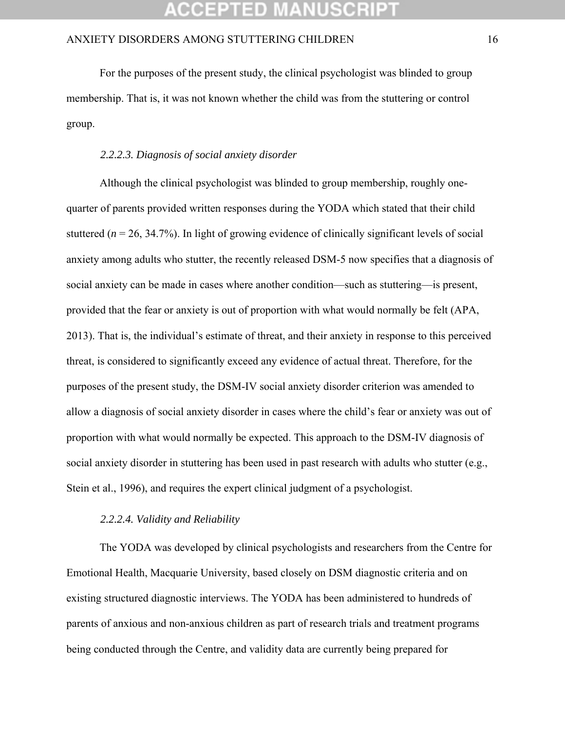## COEPTED

## ANXIETY DISORDERS AMONG STUTTERING CHILDREN 16

For the purposes of the present study, the clinical psychologist was blinded to group membership. That is, it was not known whether the child was from the stuttering or control group.

### *2.2.2.3. Diagnosis of social anxiety disorder*

Although the clinical psychologist was blinded to group membership, roughly onequarter of parents provided written responses during the YODA which stated that their child stuttered  $(n = 26, 34.7\%)$ . In light of growing evidence of clinically significant levels of social anxiety among adults who stutter, the recently released DSM-5 now specifies that a diagnosis of social anxiety can be made in cases where another condition—such as stuttering—is present, provided that the fear or anxiety is out of proportion with what would normally be felt (APA, 2013). That is, the individual's estimate of threat, and their anxiety in response to this perceived threat, is considered to significantly exceed any evidence of actual threat. Therefore, for the purposes of the present study, the DSM-IV social anxiety disorder criterion was amended to allow a diagnosis of social anxiety disorder in cases where the child's fear or anxiety was out of proportion with what would normally be expected. This approach to the DSM-IV diagnosis of social anxiety disorder in stuttering has been used in past research with adults who stutter (e.g., Stein et al., 1996), and requires the expert clinical judgment of a psychologist.

## *2.2.2.4. Validity and Reliability*

The YODA was developed by clinical psychologists and researchers from the Centre for Emotional Health, Macquarie University, based closely on DSM diagnostic criteria and on existing structured diagnostic interviews. The YODA has been administered to hundreds of parents of anxious and non-anxious children as part of research trials and treatment programs being conducted through the Centre, and validity data are currently being prepared for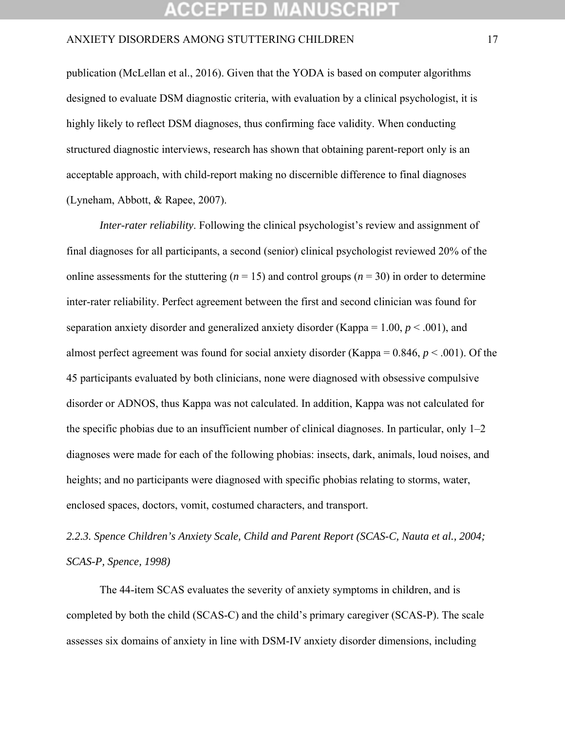## ANXIETY DISORDERS AMONG STUTTERING CHILDREN 17

publication (McLellan et al., 2016). Given that the YODA is based on computer algorithms designed to evaluate DSM diagnostic criteria, with evaluation by a clinical psychologist, it is highly likely to reflect DSM diagnoses, thus confirming face validity. When conducting structured diagnostic interviews, research has shown that obtaining parent-report only is an acceptable approach, with child-report making no discernible difference to final diagnoses (Lyneham, Abbott, & Rapee, 2007).

*Inter-rater reliability*. Following the clinical psychologist's review and assignment of final diagnoses for all participants, a second (senior) clinical psychologist reviewed 20% of the online assessments for the stuttering  $(n = 15)$  and control groups  $(n = 30)$  in order to determine inter-rater reliability. Perfect agreement between the first and second clinician was found for separation anxiety disorder and generalized anxiety disorder (Kappa = 1.00, *p* < .001), and almost perfect agreement was found for social anxiety disorder (Kappa =  $0.846$ ,  $p < .001$ ). Of the 45 participants evaluated by both clinicians, none were diagnosed with obsessive compulsive disorder or ADNOS, thus Kappa was not calculated. In addition, Kappa was not calculated for the specific phobias due to an insufficient number of clinical diagnoses. In particular, only  $1-2$ diagnoses were made for each of the following phobias: insects, dark, animals, loud noises, and heights; and no participants were diagnosed with specific phobias relating to storms, water, enclosed spaces, doctors, vomit, costumed characters, and transport.

# *2.2.3. Spence Children's Anxiety Scale, Child and Parent Report (SCAS-C, Nauta et al., 2004; SCAS-P, Spence, 1998)*

The 44-item SCAS evaluates the severity of anxiety symptoms in children, and is completed by both the child (SCAS-C) and the child's primary caregiver (SCAS-P). The scale assesses six domains of anxiety in line with DSM-IV anxiety disorder dimensions, including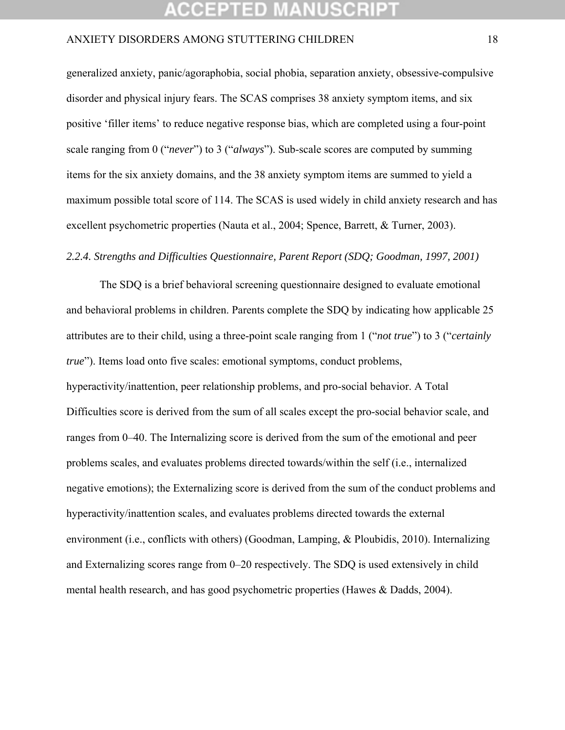## ANXIETY DISORDERS AMONG STUTTERING CHILDREN 18

generalized anxiety, panic/agoraphobia, social phobia, separation anxiety, obsessive-compulsive disorder and physical injury fears. The SCAS comprises 38 anxiety symptom items, and six positive 'filler items' to reduce negative response bias, which are completed using a four-point scale ranging from 0 ("*never*") to 3 ("*always*"). Sub-scale scores are computed by summing items for the six anxiety domains, and the 38 anxiety symptom items are summed to yield a maximum possible total score of 114. The SCAS is used widely in child anxiety research and has excellent psychometric properties (Nauta et al., 2004; Spence, Barrett, & Turner, 2003).

*2.2.4. Strengths and Difficulties Questionnaire, Parent Report (SDQ; Goodman, 1997, 2001)* 

The SDQ is a brief behavioral screening questionnaire designed to evaluate emotional and behavioral problems in children. Parents complete the SDQ by indicating how applicable 25 attributes are to their child, using a three-point scale ranging from 1 ("*not true*") to 3 ("*certainly true*"). Items load onto five scales: emotional symptoms, conduct problems, hyperactivity/inattention, peer relationship problems, and pro-social behavior. A Total Difficulties score is derived from the sum of all scales except the pro-social behavior scale, and ranges from 0–40. The Internalizing score is derived from the sum of the emotional and peer problems scales, and evaluates problems directed towards/within the self (i.e., internalized negative emotions); the Externalizing score is derived from the sum of the conduct problems and hyperactivity/inattention scales, and evaluates problems directed towards the external environment (i.e., conflicts with others) (Goodman, Lamping, & Ploubidis, 2010). Internalizing and Externalizing scores range from 0–20 respectively. The SDQ is used extensively in child mental health research, and has good psychometric properties (Hawes & Dadds, 2004).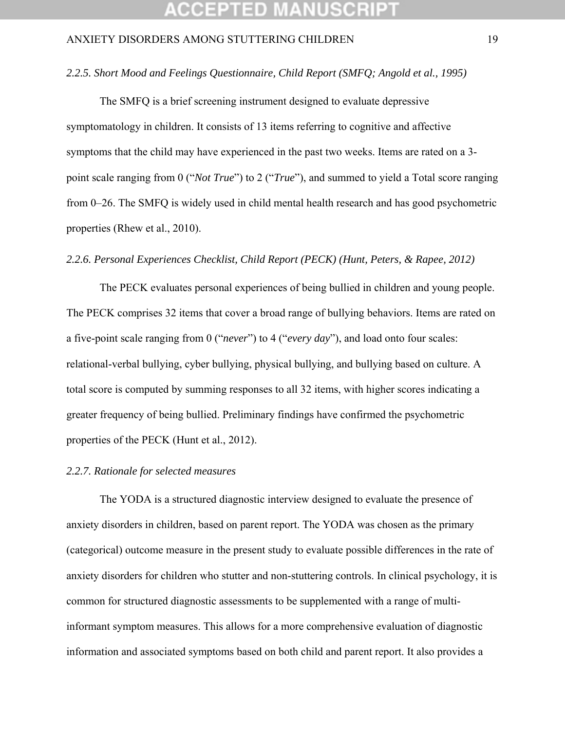## ANXIETY DISORDERS AMONG STUTTERING CHILDREN 19

### *2.2.5. Short Mood and Feelings Questionnaire, Child Report (SMFQ; Angold et al., 1995)*

The SMFQ is a brief screening instrument designed to evaluate depressive symptomatology in children. It consists of 13 items referring to cognitive and affective symptoms that the child may have experienced in the past two weeks. Items are rated on a 3 point scale ranging from 0 ("*Not True*") to 2 ("*True*"), and summed to yield a Total score ranging from 0–26. The SMFQ is widely used in child mental health research and has good psychometric properties (Rhew et al., 2010).

## *2.2.6. Personal Experiences Checklist, Child Report (PECK) (Hunt, Peters, & Rapee, 2012)*

The PECK evaluates personal experiences of being bullied in children and young people. The PECK comprises 32 items that cover a broad range of bullying behaviors. Items are rated on a five-point scale ranging from 0 ("*never*") to 4 ("*every day*"), and load onto four scales: relational-verbal bullying, cyber bullying, physical bullying, and bullying based on culture. A total score is computed by summing responses to all 32 items, with higher scores indicating a greater frequency of being bullied. Preliminary findings have confirmed the psychometric properties of the PECK (Hunt et al., 2012).

## *2.2.7. Rationale for selected measures*

The YODA is a structured diagnostic interview designed to evaluate the presence of anxiety disorders in children, based on parent report. The YODA was chosen as the primary (categorical) outcome measure in the present study to evaluate possible differences in the rate of anxiety disorders for children who stutter and non-stuttering controls. In clinical psychology, it is common for structured diagnostic assessments to be supplemented with a range of multiinformant symptom measures. This allows for a more comprehensive evaluation of diagnostic information and associated symptoms based on both child and parent report. It also provides a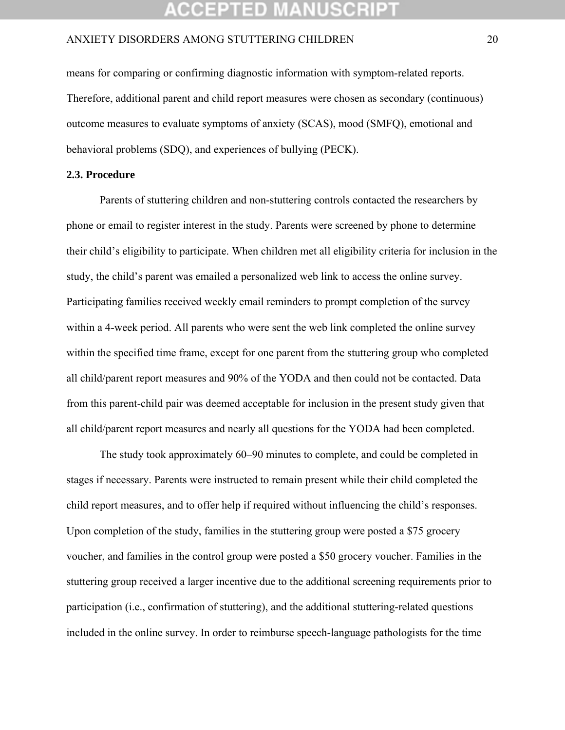## ANXIETY DISORDERS AMONG STUTTERING CHILDREN 20

means for comparing or confirming diagnostic information with symptom-related reports. Therefore, additional parent and child report measures were chosen as secondary (continuous) outcome measures to evaluate symptoms of anxiety (SCAS), mood (SMFQ), emotional and behavioral problems (SDQ), and experiences of bullying (PECK).

## **2.3. Procedure**

Parents of stuttering children and non-stuttering controls contacted the researchers by phone or email to register interest in the study. Parents were screened by phone to determine their child's eligibility to participate. When children met all eligibility criteria for inclusion in the study, the child's parent was emailed a personalized web link to access the online survey. Participating families received weekly email reminders to prompt completion of the survey within a 4-week period. All parents who were sent the web link completed the online survey within the specified time frame, except for one parent from the stuttering group who completed all child/parent report measures and 90% of the YODA and then could not be contacted. Data from this parent-child pair was deemed acceptable for inclusion in the present study given that all child/parent report measures and nearly all questions for the YODA had been completed.

The study took approximately 60–90 minutes to complete, and could be completed in stages if necessary. Parents were instructed to remain present while their child completed the child report measures, and to offer help if required without influencing the child's responses. Upon completion of the study, families in the stuttering group were posted a \$75 grocery voucher, and families in the control group were posted a \$50 grocery voucher. Families in the stuttering group received a larger incentive due to the additional screening requirements prior to participation (i.e., confirmation of stuttering), and the additional stuttering-related questions included in the online survey. In order to reimburse speech-language pathologists for the time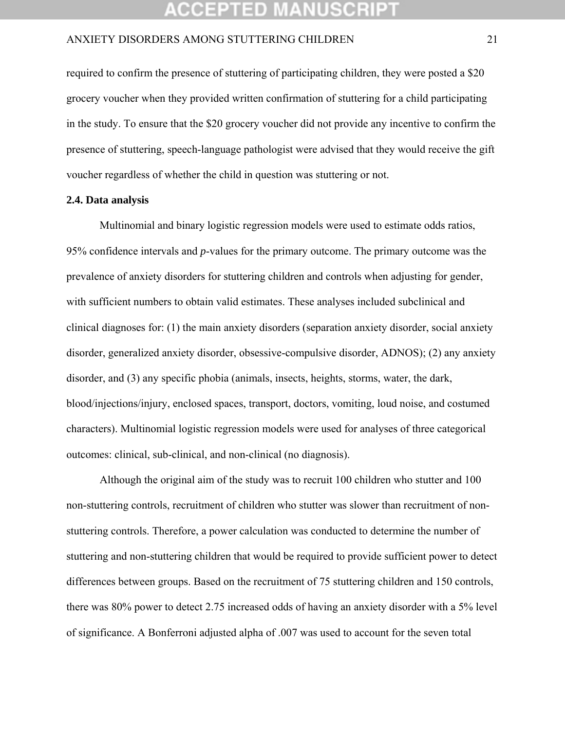## ANXIETY DISORDERS AMONG STUTTERING CHILDREN 21

required to confirm the presence of stuttering of participating children, they were posted a \$20 grocery voucher when they provided written confirmation of stuttering for a child participating in the study. To ensure that the \$20 grocery voucher did not provide any incentive to confirm the presence of stuttering, speech-language pathologist were advised that they would receive the gift voucher regardless of whether the child in question was stuttering or not.

## **2.4. Data analysis**

Multinomial and binary logistic regression models were used to estimate odds ratios, 95% confidence intervals and *p*-values for the primary outcome. The primary outcome was the prevalence of anxiety disorders for stuttering children and controls when adjusting for gender, with sufficient numbers to obtain valid estimates. These analyses included subclinical and clinical diagnoses for: (1) the main anxiety disorders (separation anxiety disorder, social anxiety disorder, generalized anxiety disorder, obsessive-compulsive disorder, ADNOS); (2) any anxiety disorder, and (3) any specific phobia (animals, insects, heights, storms, water, the dark, blood/injections/injury, enclosed spaces, transport, doctors, vomiting, loud noise, and costumed characters). Multinomial logistic regression models were used for analyses of three categorical outcomes: clinical, sub-clinical, and non-clinical (no diagnosis).

Although the original aim of the study was to recruit 100 children who stutter and 100 non-stuttering controls, recruitment of children who stutter was slower than recruitment of nonstuttering controls. Therefore, a power calculation was conducted to determine the number of stuttering and non-stuttering children that would be required to provide sufficient power to detect differences between groups. Based on the recruitment of 75 stuttering children and 150 controls, there was 80% power to detect 2.75 increased odds of having an anxiety disorder with a 5% level of significance. A Bonferroni adjusted alpha of .007 was used to account for the seven total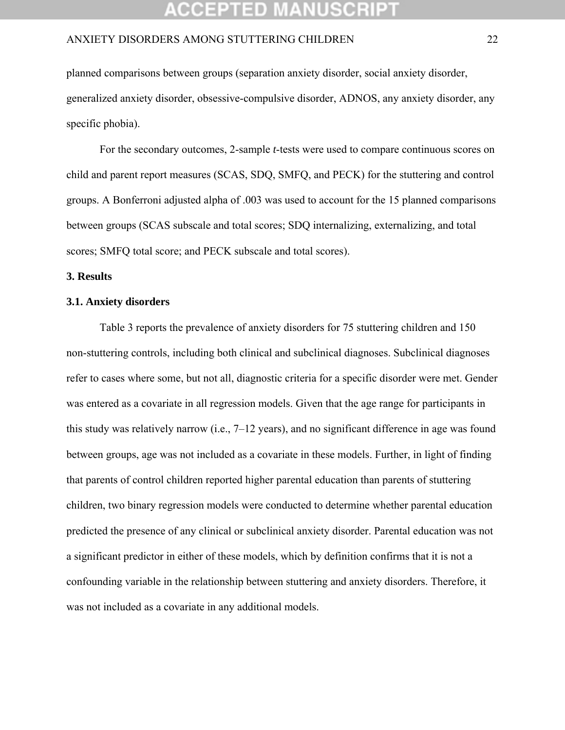## **CCEPTED**

## ANXIETY DISORDERS AMONG STUTTERING CHILDREN 22

planned comparisons between groups (separation anxiety disorder, social anxiety disorder, generalized anxiety disorder, obsessive-compulsive disorder, ADNOS, any anxiety disorder, any specific phobia).

For the secondary outcomes, 2-sample *t*-tests were used to compare continuous scores on child and parent report measures (SCAS, SDQ, SMFQ, and PECK) for the stuttering and control groups. A Bonferroni adjusted alpha of .003 was used to account for the 15 planned comparisons between groups (SCAS subscale and total scores; SDQ internalizing, externalizing, and total scores; SMFQ total score; and PECK subscale and total scores).

### **3. Results**

## **3.1. Anxiety disorders**

Table 3 reports the prevalence of anxiety disorders for 75 stuttering children and 150 non-stuttering controls, including both clinical and subclinical diagnoses. Subclinical diagnoses refer to cases where some, but not all, diagnostic criteria for a specific disorder were met. Gender was entered as a covariate in all regression models. Given that the age range for participants in this study was relatively narrow (i.e., 7–12 years), and no significant difference in age was found between groups, age was not included as a covariate in these models. Further, in light of finding that parents of control children reported higher parental education than parents of stuttering children, two binary regression models were conducted to determine whether parental education predicted the presence of any clinical or subclinical anxiety disorder. Parental education was not a significant predictor in either of these models, which by definition confirms that it is not a confounding variable in the relationship between stuttering and anxiety disorders. Therefore, it was not included as a covariate in any additional models.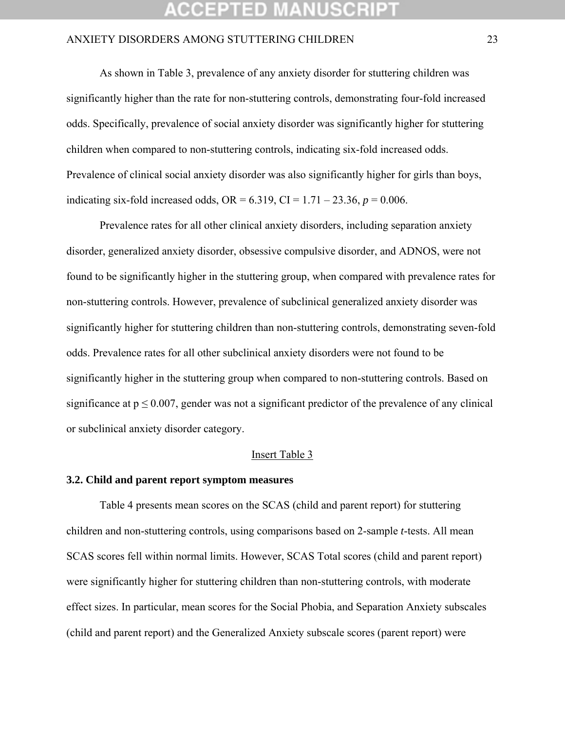## ANXIETY DISORDERS AMONG STUTTERING CHILDREN 23

As shown in Table 3, prevalence of any anxiety disorder for stuttering children was significantly higher than the rate for non-stuttering controls, demonstrating four-fold increased odds. Specifically, prevalence of social anxiety disorder was significantly higher for stuttering children when compared to non-stuttering controls, indicating six-fold increased odds. Prevalence of clinical social anxiety disorder was also significantly higher for girls than boys, indicating six-fold increased odds,  $OR = 6.319$ ,  $CI = 1.71 - 23.36$ ,  $p = 0.006$ .

Prevalence rates for all other clinical anxiety disorders, including separation anxiety disorder, generalized anxiety disorder, obsessive compulsive disorder, and ADNOS, were not found to be significantly higher in the stuttering group, when compared with prevalence rates for non-stuttering controls. However, prevalence of subclinical generalized anxiety disorder was significantly higher for stuttering children than non-stuttering controls, demonstrating seven-fold odds. Prevalence rates for all other subclinical anxiety disorders were not found to be significantly higher in the stuttering group when compared to non-stuttering controls. Based on significance at  $p \le 0.007$ , gender was not a significant predictor of the prevalence of any clinical or subclinical anxiety disorder category.

### Insert Table 3

### **3.2. Child and parent report symptom measures**

Table 4 presents mean scores on the SCAS (child and parent report) for stuttering children and non-stuttering controls, using comparisons based on 2-sample *t*-tests. All mean SCAS scores fell within normal limits. However, SCAS Total scores (child and parent report) were significantly higher for stuttering children than non-stuttering controls, with moderate effect sizes. In particular, mean scores for the Social Phobia, and Separation Anxiety subscales (child and parent report) and the Generalized Anxiety subscale scores (parent report) were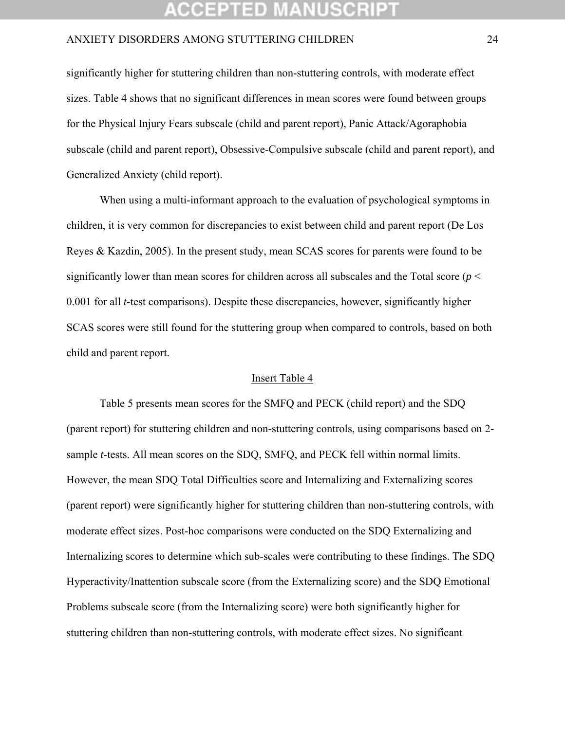## ANXIETY DISORDERS AMONG STUTTERING CHILDREN 24

significantly higher for stuttering children than non-stuttering controls, with moderate effect sizes. Table 4 shows that no significant differences in mean scores were found between groups for the Physical Injury Fears subscale (child and parent report), Panic Attack/Agoraphobia subscale (child and parent report), Obsessive-Compulsive subscale (child and parent report), and Generalized Anxiety (child report).

When using a multi-informant approach to the evaluation of psychological symptoms in children, it is very common for discrepancies to exist between child and parent report (De Los Reyes & Kazdin, 2005). In the present study, mean SCAS scores for parents were found to be significantly lower than mean scores for children across all subscales and the Total score ( $p <$ 0.001 for all *t*-test comparisons). Despite these discrepancies, however, significantly higher SCAS scores were still found for the stuttering group when compared to controls, based on both child and parent report.

### Insert Table 4

Table 5 presents mean scores for the SMFQ and PECK (child report) and the SDQ (parent report) for stuttering children and non-stuttering controls, using comparisons based on 2 sample *t*-tests. All mean scores on the SDQ, SMFQ, and PECK fell within normal limits. However, the mean SDQ Total Difficulties score and Internalizing and Externalizing scores (parent report) were significantly higher for stuttering children than non-stuttering controls, with moderate effect sizes. Post-hoc comparisons were conducted on the SDQ Externalizing and Internalizing scores to determine which sub-scales were contributing to these findings. The SDQ Hyperactivity/Inattention subscale score (from the Externalizing score) and the SDQ Emotional Problems subscale score (from the Internalizing score) were both significantly higher for stuttering children than non-stuttering controls, with moderate effect sizes. No significant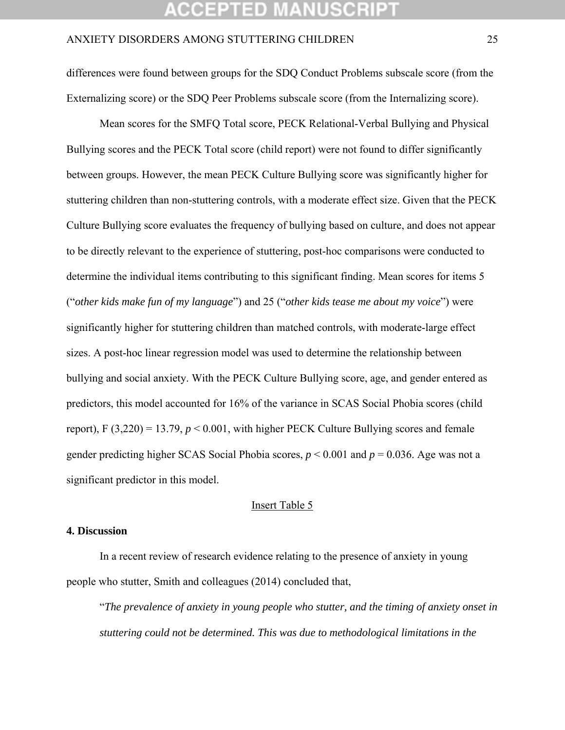## ANXIETY DISORDERS AMONG STUTTERING CHILDREN 25

differences were found between groups for the SDQ Conduct Problems subscale score (from the Externalizing score) or the SDQ Peer Problems subscale score (from the Internalizing score).

Mean scores for the SMFQ Total score, PECK Relational-Verbal Bullying and Physical Bullying scores and the PECK Total score (child report) were not found to differ significantly between groups. However, the mean PECK Culture Bullying score was significantly higher for stuttering children than non-stuttering controls, with a moderate effect size. Given that the PECK Culture Bullying score evaluates the frequency of bullying based on culture, and does not appear to be directly relevant to the experience of stuttering, post-hoc comparisons were conducted to determine the individual items contributing to this significant finding. Mean scores for items 5 ("*other kids make fun of my language*") and 25 ("*other kids tease me about my voice*") were significantly higher for stuttering children than matched controls, with moderate-large effect sizes. A post-hoc linear regression model was used to determine the relationship between bullying and social anxiety. With the PECK Culture Bullying score, age, and gender entered as predictors, this model accounted for 16% of the variance in SCAS Social Phobia scores (child report), F  $(3,220) = 13.79$ ,  $p < 0.001$ , with higher PECK Culture Bullying scores and female gender predicting higher SCAS Social Phobia scores, *p* < 0.001 and *p* = 0.036. Age was not a significant predictor in this model.

### Insert Table 5

### **4. Discussion**

In a recent review of research evidence relating to the presence of anxiety in young people who stutter, Smith and colleagues (2014) concluded that,

"*The prevalence of anxiety in young people who stutter, and the timing of anxiety onset in stuttering could not be determined. This was due to methodological limitations in the*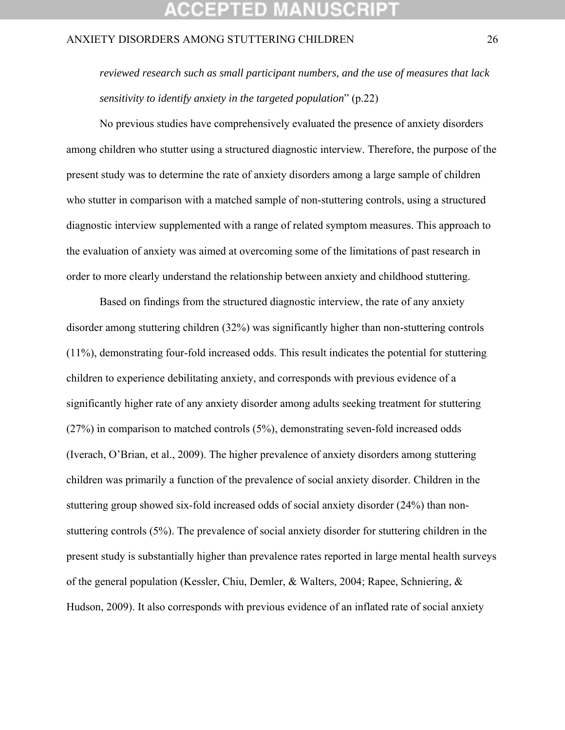### ANXIETY DISORDERS AMONG STUTTERING CHILDREN 26

*reviewed research such as small participant numbers, and the use of measures that lack sensitivity to identify anxiety in the targeted population*" (p.22)

No previous studies have comprehensively evaluated the presence of anxiety disorders among children who stutter using a structured diagnostic interview. Therefore, the purpose of the present study was to determine the rate of anxiety disorders among a large sample of children who stutter in comparison with a matched sample of non-stuttering controls, using a structured diagnostic interview supplemented with a range of related symptom measures. This approach to the evaluation of anxiety was aimed at overcoming some of the limitations of past research in order to more clearly understand the relationship between anxiety and childhood stuttering.

Based on findings from the structured diagnostic interview, the rate of any anxiety disorder among stuttering children (32%) was significantly higher than non-stuttering controls (11%), demonstrating four-fold increased odds. This result indicates the potential for stuttering children to experience debilitating anxiety, and corresponds with previous evidence of a significantly higher rate of any anxiety disorder among adults seeking treatment for stuttering (27%) in comparison to matched controls (5%), demonstrating seven-fold increased odds (Iverach, O'Brian, et al., 2009). The higher prevalence of anxiety disorders among stuttering children was primarily a function of the prevalence of social anxiety disorder. Children in the stuttering group showed six-fold increased odds of social anxiety disorder (24%) than nonstuttering controls (5%). The prevalence of social anxiety disorder for stuttering children in the present study is substantially higher than prevalence rates reported in large mental health surveys of the general population (Kessler, Chiu, Demler, & Walters, 2004; Rapee, Schniering, & Hudson, 2009). It also corresponds with previous evidence of an inflated rate of social anxiety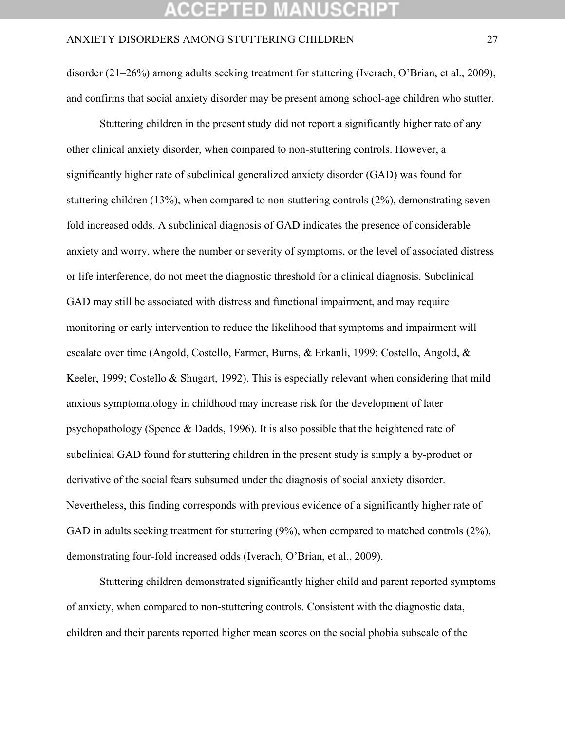disorder (21–26%) among adults seeking treatment for stuttering (Iverach, O'Brian, et al., 2009), and confirms that social anxiety disorder may be present among school-age children who stutter.

Stuttering children in the present study did not report a significantly higher rate of any other clinical anxiety disorder, when compared to non-stuttering controls. However, a significantly higher rate of subclinical generalized anxiety disorder (GAD) was found for stuttering children (13%), when compared to non-stuttering controls (2%), demonstrating sevenfold increased odds. A subclinical diagnosis of GAD indicates the presence of considerable anxiety and worry, where the number or severity of symptoms, or the level of associated distress or life interference, do not meet the diagnostic threshold for a clinical diagnosis. Subclinical GAD may still be associated with distress and functional impairment, and may require monitoring or early intervention to reduce the likelihood that symptoms and impairment will escalate over time (Angold, Costello, Farmer, Burns, & Erkanli, 1999; Costello, Angold, & Keeler, 1999; Costello & Shugart, 1992). This is especially relevant when considering that mild anxious symptomatology in childhood may increase risk for the development of later psychopathology (Spence & Dadds, 1996). It is also possible that the heightened rate of subclinical GAD found for stuttering children in the present study is simply a by-product or derivative of the social fears subsumed under the diagnosis of social anxiety disorder. Nevertheless, this finding corresponds with previous evidence of a significantly higher rate of GAD in adults seeking treatment for stuttering (9%), when compared to matched controls (2%), demonstrating four-fold increased odds (Iverach, O'Brian, et al., 2009).

Stuttering children demonstrated significantly higher child and parent reported symptoms of anxiety, when compared to non-stuttering controls. Consistent with the diagnostic data, children and their parents reported higher mean scores on the social phobia subscale of the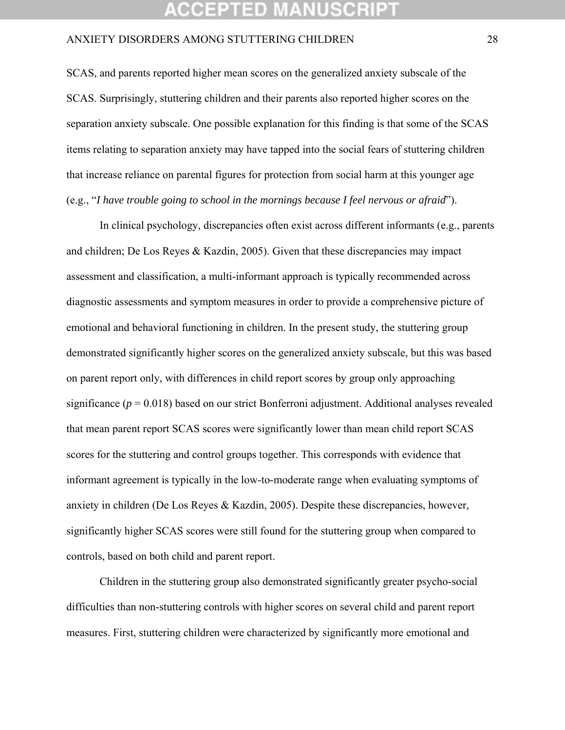## ANXIETY DISORDERS AMONG STUTTERING CHILDREN 28

SCAS, and parents reported higher mean scores on the generalized anxiety subscale of the SCAS. Surprisingly, stuttering children and their parents also reported higher scores on the separation anxiety subscale. One possible explanation for this finding is that some of the SCAS items relating to separation anxiety may have tapped into the social fears of stuttering children that increase reliance on parental figures for protection from social harm at this younger age (e.g., "*I have trouble going to school in the mornings because I feel nervous or afraid*").

In clinical psychology, discrepancies often exist across different informants (e.g., parents and children; De Los Reyes & Kazdin, 2005). Given that these discrepancies may impact assessment and classification, a multi-informant approach is typically recommended across diagnostic assessments and symptom measures in order to provide a comprehensive picture of emotional and behavioral functioning in children. In the present study, the stuttering group demonstrated significantly higher scores on the generalized anxiety subscale, but this was based on parent report only, with differences in child report scores by group only approaching significance ( $p = 0.018$ ) based on our strict Bonferroni adjustment. Additional analyses revealed that mean parent report SCAS scores were significantly lower than mean child report SCAS scores for the stuttering and control groups together. This corresponds with evidence that informant agreement is typically in the low-to-moderate range when evaluating symptoms of anxiety in children (De Los Reyes & Kazdin, 2005). Despite these discrepancies, however, significantly higher SCAS scores were still found for the stuttering group when compared to controls, based on both child and parent report.

Children in the stuttering group also demonstrated significantly greater psycho-social difficulties than non-stuttering controls with higher scores on several child and parent report measures. First, stuttering children were characterized by significantly more emotional and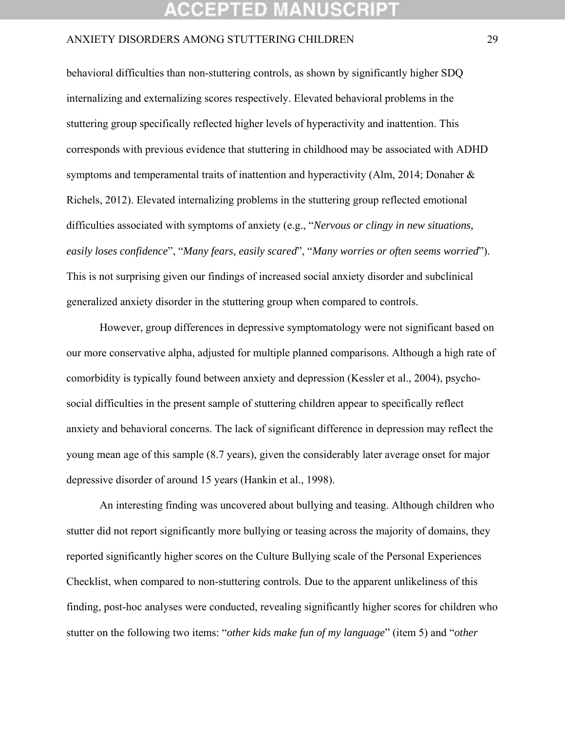## ANXIETY DISORDERS AMONG STUTTERING CHILDREN 29

behavioral difficulties than non-stuttering controls, as shown by significantly higher SDQ internalizing and externalizing scores respectively. Elevated behavioral problems in the stuttering group specifically reflected higher levels of hyperactivity and inattention. This corresponds with previous evidence that stuttering in childhood may be associated with ADHD symptoms and temperamental traits of inattention and hyperactivity (Alm, 2014; Donaher  $\&$ Richels, 2012). Elevated internalizing problems in the stuttering group reflected emotional difficulties associated with symptoms of anxiety (e.g., "*Nervous or clingy in new situations, easily loses confidence*", "*Many fears, easily scared*", "*Many worries or often seems worried*"). This is not surprising given our findings of increased social anxiety disorder and subclinical generalized anxiety disorder in the stuttering group when compared to controls.

However, group differences in depressive symptomatology were not significant based on our more conservative alpha, adjusted for multiple planned comparisons. Although a high rate of comorbidity is typically found between anxiety and depression (Kessler et al., 2004), psychosocial difficulties in the present sample of stuttering children appear to specifically reflect anxiety and behavioral concerns. The lack of significant difference in depression may reflect the young mean age of this sample (8.7 years), given the considerably later average onset for major depressive disorder of around 15 years (Hankin et al., 1998).

An interesting finding was uncovered about bullying and teasing. Although children who stutter did not report significantly more bullying or teasing across the majority of domains, they reported significantly higher scores on the Culture Bullying scale of the Personal Experiences Checklist, when compared to non-stuttering controls. Due to the apparent unlikeliness of this finding, post-hoc analyses were conducted, revealing significantly higher scores for children who stutter on the following two items: "*other kids make fun of my language*" (item 5) and "*other*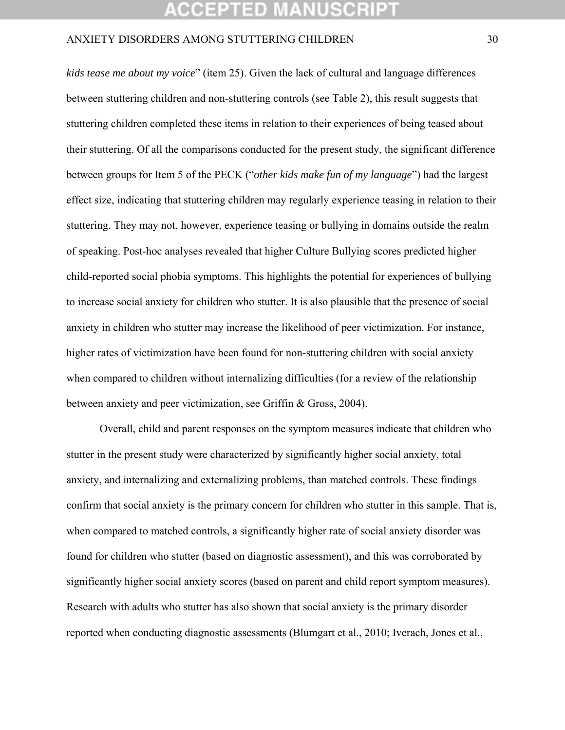## ANXIETY DISORDERS AMONG STUTTERING CHILDREN 30

*kids tease me about my voice*" (item 25). Given the lack of cultural and language differences between stuttering children and non-stuttering controls (see Table 2), this result suggests that stuttering children completed these items in relation to their experiences of being teased about their stuttering. Of all the comparisons conducted for the present study, the significant difference between groups for Item 5 of the PECK ("*other kids make fun of my language*") had the largest effect size, indicating that stuttering children may regularly experience teasing in relation to their stuttering. They may not, however, experience teasing or bullying in domains outside the realm of speaking. Post-hoc analyses revealed that higher Culture Bullying scores predicted higher child-reported social phobia symptoms. This highlights the potential for experiences of bullying to increase social anxiety for children who stutter. It is also plausible that the presence of social anxiety in children who stutter may increase the likelihood of peer victimization. For instance, higher rates of victimization have been found for non-stuttering children with social anxiety when compared to children without internalizing difficulties (for a review of the relationship between anxiety and peer victimization, see Griffin & Gross, 2004).

Overall, child and parent responses on the symptom measures indicate that children who stutter in the present study were characterized by significantly higher social anxiety, total anxiety, and internalizing and externalizing problems, than matched controls. These findings confirm that social anxiety is the primary concern for children who stutter in this sample. That is, when compared to matched controls, a significantly higher rate of social anxiety disorder was found for children who stutter (based on diagnostic assessment), and this was corroborated by significantly higher social anxiety scores (based on parent and child report symptom measures). Research with adults who stutter has also shown that social anxiety is the primary disorder reported when conducting diagnostic assessments (Blumgart et al., 2010; Iverach, Jones et al.,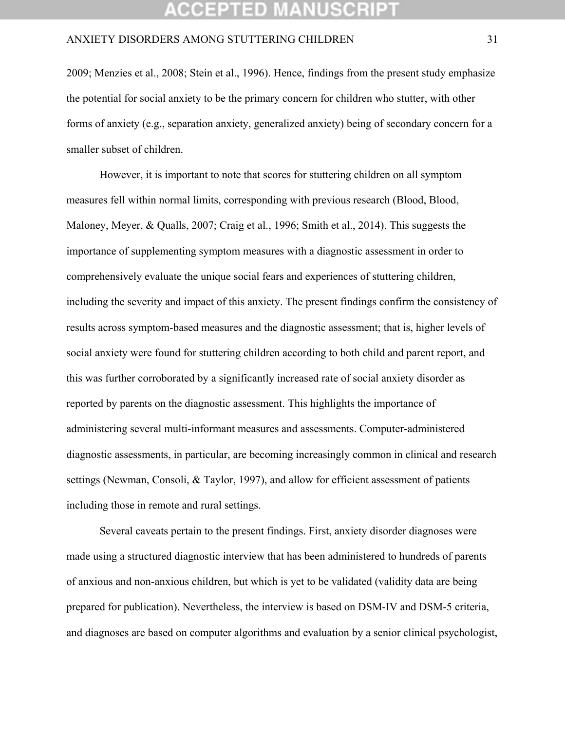## ANXIETY DISORDERS AMONG STUTTERING CHILDREN 31

2009; Menzies et al., 2008; Stein et al., 1996). Hence, findings from the present study emphasize the potential for social anxiety to be the primary concern for children who stutter, with other forms of anxiety (e.g., separation anxiety, generalized anxiety) being of secondary concern for a smaller subset of children.

However, it is important to note that scores for stuttering children on all symptom measures fell within normal limits, corresponding with previous research (Blood, Blood, Maloney, Meyer, & Qualls, 2007; Craig et al., 1996; Smith et al., 2014). This suggests the importance of supplementing symptom measures with a diagnostic assessment in order to comprehensively evaluate the unique social fears and experiences of stuttering children, including the severity and impact of this anxiety. The present findings confirm the consistency of results across symptom-based measures and the diagnostic assessment; that is, higher levels of social anxiety were found for stuttering children according to both child and parent report, and this was further corroborated by a significantly increased rate of social anxiety disorder as reported by parents on the diagnostic assessment. This highlights the importance of administering several multi-informant measures and assessments. Computer-administered diagnostic assessments, in particular, are becoming increasingly common in clinical and research settings (Newman, Consoli, & Taylor, 1997), and allow for efficient assessment of patients including those in remote and rural settings.

Several caveats pertain to the present findings. First, anxiety disorder diagnoses were made using a structured diagnostic interview that has been administered to hundreds of parents of anxious and non-anxious children, but which is yet to be validated (validity data are being prepared for publication). Nevertheless, the interview is based on DSM-IV and DSM-5 criteria, and diagnoses are based on computer algorithms and evaluation by a senior clinical psychologist,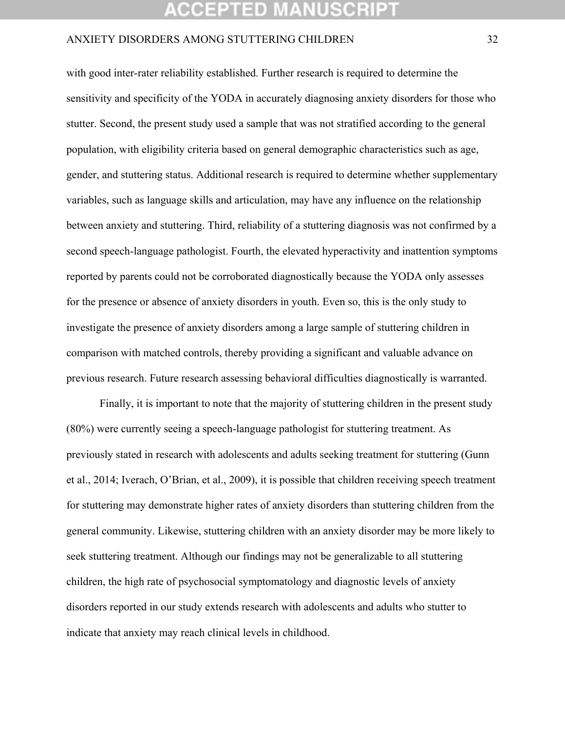## ANXIETY DISORDERS AMONG STUTTERING CHILDREN 32

with good inter-rater reliability established. Further research is required to determine the sensitivity and specificity of the YODA in accurately diagnosing anxiety disorders for those who stutter. Second, the present study used a sample that was not stratified according to the general population, with eligibility criteria based on general demographic characteristics such as age, gender, and stuttering status. Additional research is required to determine whether supplementary variables, such as language skills and articulation, may have any influence on the relationship between anxiety and stuttering. Third, reliability of a stuttering diagnosis was not confirmed by a second speech-language pathologist. Fourth, the elevated hyperactivity and inattention symptoms reported by parents could not be corroborated diagnostically because the YODA only assesses for the presence or absence of anxiety disorders in youth. Even so, this is the only study to investigate the presence of anxiety disorders among a large sample of stuttering children in comparison with matched controls, thereby providing a significant and valuable advance on previous research. Future research assessing behavioral difficulties diagnostically is warranted.

Finally, it is important to note that the majority of stuttering children in the present study (80%) were currently seeing a speech-language pathologist for stuttering treatment. As previously stated in research with adolescents and adults seeking treatment for stuttering (Gunn et al., 2014; Iverach, O'Brian, et al., 2009), it is possible that children receiving speech treatment for stuttering may demonstrate higher rates of anxiety disorders than stuttering children from the general community. Likewise, stuttering children with an anxiety disorder may be more likely to seek stuttering treatment. Although our findings may not be generalizable to all stuttering children, the high rate of psychosocial symptomatology and diagnostic levels of anxiety disorders reported in our study extends research with adolescents and adults who stutter to indicate that anxiety may reach clinical levels in childhood.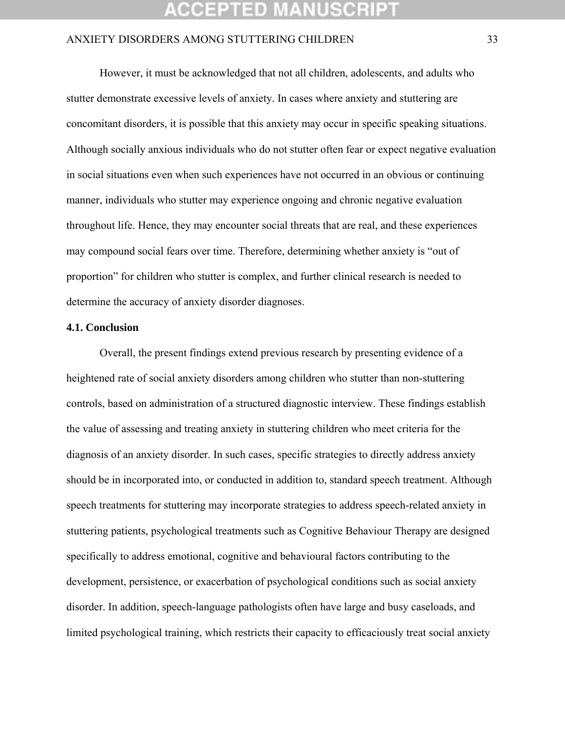## ANXIETY DISORDERS AMONG STUTTERING CHILDREN 33

However, it must be acknowledged that not all children, adolescents, and adults who stutter demonstrate excessive levels of anxiety. In cases where anxiety and stuttering are concomitant disorders, it is possible that this anxiety may occur in specific speaking situations. Although socially anxious individuals who do not stutter often fear or expect negative evaluation in social situations even when such experiences have not occurred in an obvious or continuing manner, individuals who stutter may experience ongoing and chronic negative evaluation throughout life. Hence, they may encounter social threats that are real, and these experiences may compound social fears over time. Therefore, determining whether anxiety is "out of proportion" for children who stutter is complex, and further clinical research is needed to determine the accuracy of anxiety disorder diagnoses.

## **4.1. Conclusion**

Overall, the present findings extend previous research by presenting evidence of a heightened rate of social anxiety disorders among children who stutter than non-stuttering controls, based on administration of a structured diagnostic interview. These findings establish the value of assessing and treating anxiety in stuttering children who meet criteria for the diagnosis of an anxiety disorder. In such cases, specific strategies to directly address anxiety should be in incorporated into, or conducted in addition to, standard speech treatment. Although speech treatments for stuttering may incorporate strategies to address speech-related anxiety in stuttering patients, psychological treatments such as Cognitive Behaviour Therapy are designed specifically to address emotional, cognitive and behavioural factors contributing to the development, persistence, or exacerbation of psychological conditions such as social anxiety disorder. In addition, speech-language pathologists often have large and busy caseloads, and limited psychological training, which restricts their capacity to efficaciously treat social anxiety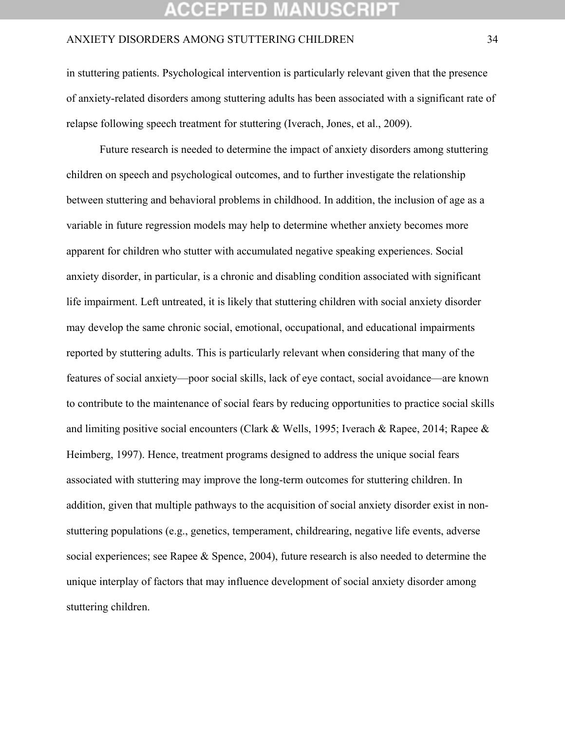## COEPTED

## ANXIETY DISORDERS AMONG STUTTERING CHILDREN 34

in stuttering patients. Psychological intervention is particularly relevant given that the presence of anxiety-related disorders among stuttering adults has been associated with a significant rate of relapse following speech treatment for stuttering (Iverach, Jones, et al., 2009).

Future research is needed to determine the impact of anxiety disorders among stuttering children on speech and psychological outcomes, and to further investigate the relationship between stuttering and behavioral problems in childhood. In addition, the inclusion of age as a variable in future regression models may help to determine whether anxiety becomes more apparent for children who stutter with accumulated negative speaking experiences. Social anxiety disorder, in particular, is a chronic and disabling condition associated with significant life impairment. Left untreated, it is likely that stuttering children with social anxiety disorder may develop the same chronic social, emotional, occupational, and educational impairments reported by stuttering adults. This is particularly relevant when considering that many of the features of social anxiety—poor social skills, lack of eye contact, social avoidance—are known to contribute to the maintenance of social fears by reducing opportunities to practice social skills and limiting positive social encounters (Clark & Wells, 1995; Iverach & Rapee, 2014; Rapee & Heimberg, 1997). Hence, treatment programs designed to address the unique social fears associated with stuttering may improve the long-term outcomes for stuttering children. In addition, given that multiple pathways to the acquisition of social anxiety disorder exist in nonstuttering populations (e.g., genetics, temperament, childrearing, negative life events, adverse social experiences; see Rapee & Spence, 2004), future research is also needed to determine the unique interplay of factors that may influence development of social anxiety disorder among stuttering children.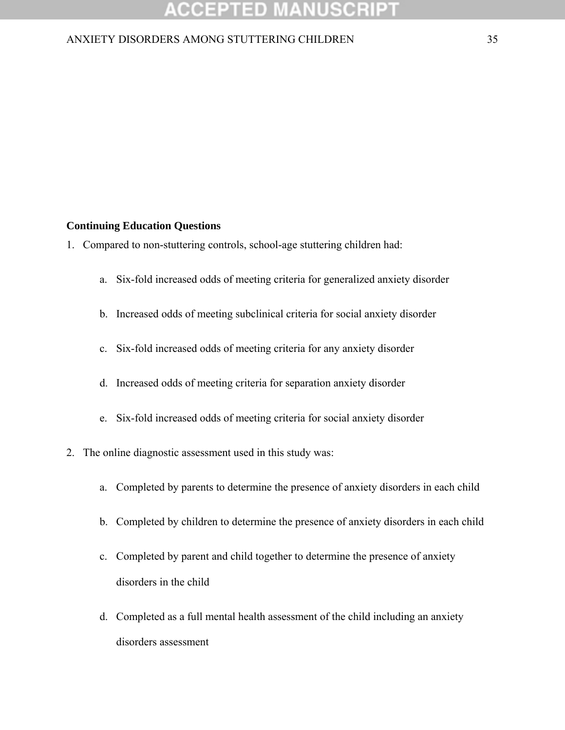# COEPTED

## ANXIETY DISORDERS AMONG STUTTERING CHILDREN 35

### **Continuing Education Questions**

- 1. Compared to non-stuttering controls, school-age stuttering children had:
	- a. Six-fold increased odds of meeting criteria for generalized anxiety disorder
	- b. Increased odds of meeting subclinical criteria for social anxiety disorder
	- c. Six-fold increased odds of meeting criteria for any anxiety disorder
	- d. Increased odds of meeting criteria for separation anxiety disorder
	- e. Six-fold increased odds of meeting criteria for social anxiety disorder
- 2. The online diagnostic assessment used in this study was:
	- a. Completed by parents to determine the presence of anxiety disorders in each child
	- b. Completed by children to determine the presence of anxiety disorders in each child
	- c. Completed by parent and child together to determine the presence of anxiety disorders in the child
	- d. Completed as a full mental health assessment of the child including an anxiety disorders assessment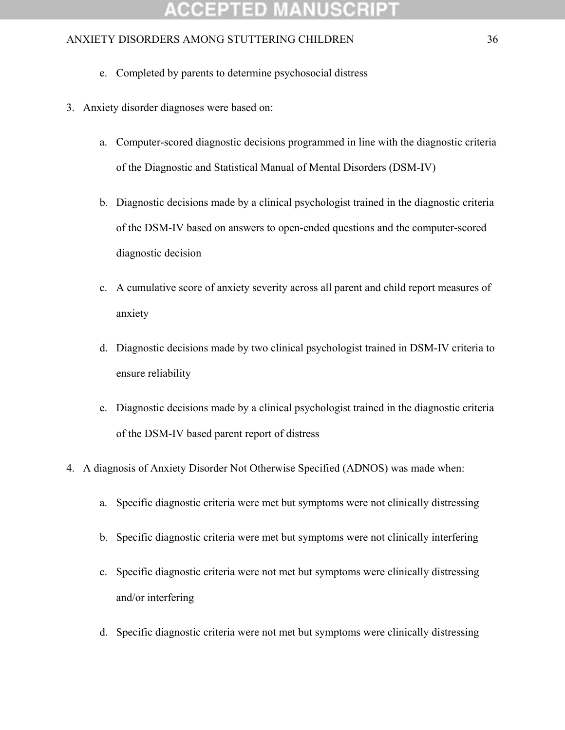- e. Completed by parents to determine psychosocial distress
- 3. Anxiety disorder diagnoses were based on:
	- a. Computer-scored diagnostic decisions programmed in line with the diagnostic criteria of the Diagnostic and Statistical Manual of Mental Disorders (DSM-IV)
	- b. Diagnostic decisions made by a clinical psychologist trained in the diagnostic criteria of the DSM-IV based on answers to open-ended questions and the computer-scored diagnostic decision
	- c. A cumulative score of anxiety severity across all parent and child report measures of anxiety
	- d. Diagnostic decisions made by two clinical psychologist trained in DSM-IV criteria to ensure reliability
	- e. Diagnostic decisions made by a clinical psychologist trained in the diagnostic criteria of the DSM-IV based parent report of distress
- 4. A diagnosis of Anxiety Disorder Not Otherwise Specified (ADNOS) was made when:
	- a. Specific diagnostic criteria were met but symptoms were not clinically distressing
	- b. Specific diagnostic criteria were met but symptoms were not clinically interfering
	- c. Specific diagnostic criteria were not met but symptoms were clinically distressing and/or interfering
	- d. Specific diagnostic criteria were not met but symptoms were clinically distressing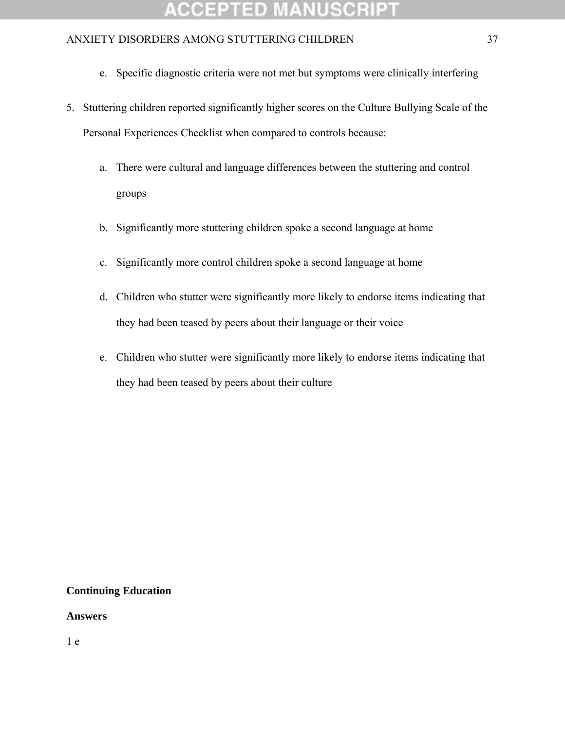#### COEPTED ANUSCR

## ANXIETY DISORDERS AMONG STUTTERING CHILDREN 37

- e. Specific diagnostic criteria were not met but symptoms were clinically interfering
- 5. Stuttering children reported significantly higher scores on the Culture Bullying Scale of the Personal Experiences Checklist when compared to controls because:
	- a. There were cultural and language differences between the stuttering and control groups
	- b. Significantly more stuttering children spoke a second language at home
	- c. Significantly more control children spoke a second language at home
	- d. Children who stutter were significantly more likely to endorse items indicating that they had been teased by peers about their language or their voice
	- e. Children who stutter were significantly more likely to endorse items indicating that they had been teased by peers about their culture

### **Continuing Education**

**Answers** 

1 e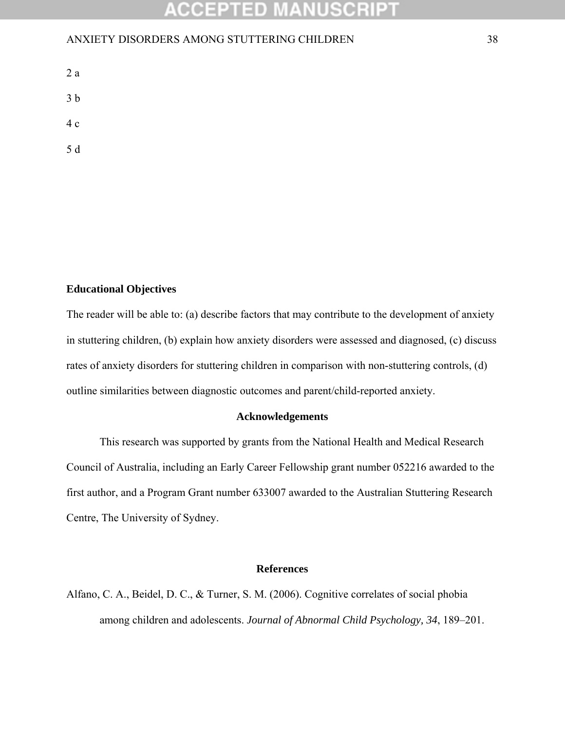# COEPTED

## ANXIETY DISORDERS AMONG STUTTERING CHILDREN 38

2 a

3 b

4 c

5 d

## **Educational Objectives**

The reader will be able to: (a) describe factors that may contribute to the development of anxiety in stuttering children, (b) explain how anxiety disorders were assessed and diagnosed, (c) discuss rates of anxiety disorders for stuttering children in comparison with non-stuttering controls, (d) outline similarities between diagnostic outcomes and parent/child-reported anxiety.

## **Acknowledgements**

This research was supported by grants from the National Health and Medical Research Council of Australia, including an Early Career Fellowship grant number 052216 awarded to the first author, and a Program Grant number 633007 awarded to the Australian Stuttering Research Centre, The University of Sydney.

## **References**

Alfano, C. A., Beidel, D. C., & Turner, S. M. (2006). Cognitive correlates of social phobia among children and adolescents. *Journal of Abnormal Child Psychology, 34*, 189–201.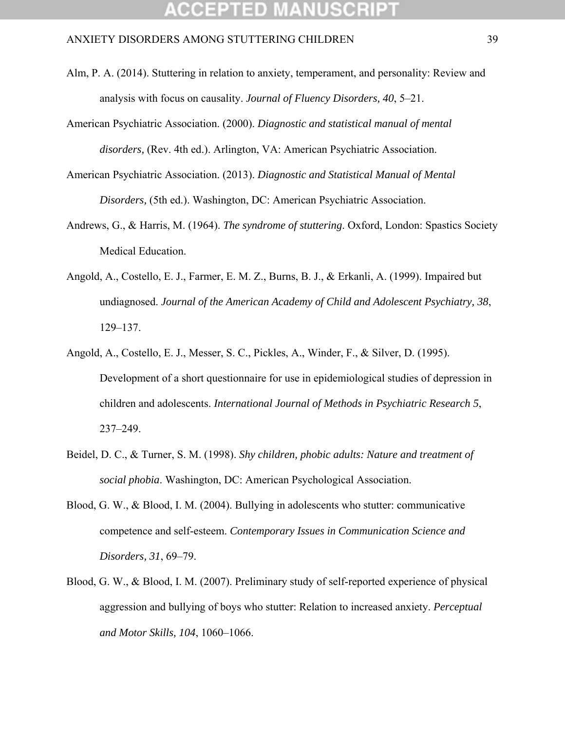- Alm, P. A. (2014). Stuttering in relation to anxiety, temperament, and personality: Review and analysis with focus on causality. *Journal of Fluency Disorders, 40*, 5–21.
- American Psychiatric Association. (2000). *Diagnostic and statistical manual of mental disorders,* (Rev. 4th ed.). Arlington, VA: American Psychiatric Association.
- American Psychiatric Association. (2013). *Diagnostic and Statistical Manual of Mental Disorders,* (5th ed.). Washington, DC: American Psychiatric Association.
- Andrews, G., & Harris, M. (1964). *The syndrome of stuttering*. Oxford, London: Spastics Society Medical Education.
- Angold, A., Costello, E. J., Farmer, E. M. Z., Burns, B. J., & Erkanli, A. (1999). Impaired but undiagnosed. *Journal of the American Academy of Child and Adolescent Psychiatry, 38*, 129–137.
- Angold, A., Costello, E. J., Messer, S. C., Pickles, A., Winder, F., & Silver, D. (1995). Development of a short questionnaire for use in epidemiological studies of depression in children and adolescents. *International Journal of Methods in Psychiatric Research 5*, 237–249.
- Beidel, D. C., & Turner, S. M. (1998). *Shy children, phobic adults: Nature and treatment of social phobia*. Washington, DC: American Psychological Association.
- Blood, G. W., & Blood, I. M. (2004). Bullying in adolescents who stutter: communicative competence and self-esteem. *Contemporary Issues in Communication Science and Disorders, 31*, 69–79.
- Blood, G. W., & Blood, I. M. (2007). Preliminary study of self-reported experience of physical aggression and bullying of boys who stutter: Relation to increased anxiety. *Perceptual and Motor Skills, 104*, 1060–1066.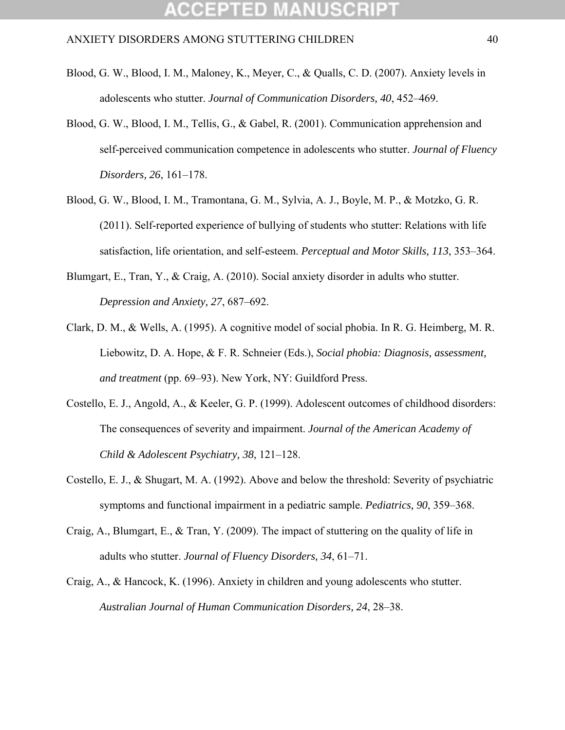- Blood, G. W., Blood, I. M., Maloney, K., Meyer, C., & Qualls, C. D. (2007). Anxiety levels in adolescents who stutter. *Journal of Communication Disorders, 40*, 452–469.
- Blood, G. W., Blood, I. M., Tellis, G., & Gabel, R. (2001). Communication apprehension and self-perceived communication competence in adolescents who stutter. *Journal of Fluency Disorders, 26*, 161–178.
- Blood, G. W., Blood, I. M., Tramontana, G. M., Sylvia, A. J., Boyle, M. P., & Motzko, G. R. (2011). Self-reported experience of bullying of students who stutter: Relations with life satisfaction, life orientation, and self-esteem. *Perceptual and Motor Skills, 113*, 353–364.
- Blumgart, E., Tran, Y., & Craig, A. (2010). Social anxiety disorder in adults who stutter. *Depression and Anxiety, 27*, 687–692.
- Clark, D. M., & Wells, A. (1995). A cognitive model of social phobia. In R. G. Heimberg, M. R. Liebowitz, D. A. Hope, & F. R. Schneier (Eds.), *Social phobia: Diagnosis, assessment, and treatment* (pp. 69–93). New York, NY: Guildford Press.
- Costello, E. J., Angold, A., & Keeler, G. P. (1999). Adolescent outcomes of childhood disorders: The consequences of severity and impairment. *Journal of the American Academy of Child & Adolescent Psychiatry, 38*, 121–128.
- Costello, E. J., & Shugart, M. A. (1992). Above and below the threshold: Severity of psychiatric symptoms and functional impairment in a pediatric sample. *Pediatrics, 90*, 359–368.
- Craig, A., Blumgart, E., & Tran, Y. (2009). The impact of stuttering on the quality of life in adults who stutter. *Journal of Fluency Disorders, 34*, 61–71.
- Craig, A., & Hancock, K. (1996). Anxiety in children and young adolescents who stutter. *Australian Journal of Human Communication Disorders, 24*, 28–38.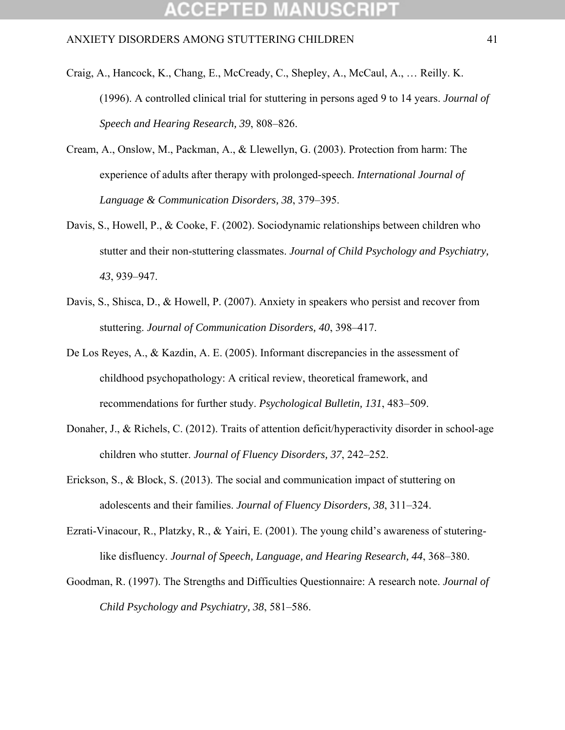- Craig, A., Hancock, K., Chang, E., McCready, C., Shepley, A., McCaul, A., … Reilly. K. (1996). A controlled clinical trial for stuttering in persons aged 9 to 14 years. *Journal of Speech and Hearing Research, 39*, 808–826.
- Cream, A., Onslow, M., Packman, A., & Llewellyn, G. (2003). Protection from harm: The experience of adults after therapy with prolonged-speech. *International Journal of Language & Communication Disorders, 38*, 379–395.
- Davis, S., Howell, P., & Cooke, F. (2002). Sociodynamic relationships between children who stutter and their non-stuttering classmates. *Journal of Child Psychology and Psychiatry, 43*, 939–947.
- Davis, S., Shisca, D., & Howell, P. (2007). Anxiety in speakers who persist and recover from stuttering. *Journal of Communication Disorders, 40*, 398–417.
- De Los Reyes, A., & Kazdin, A. E. (2005). Informant discrepancies in the assessment of childhood psychopathology: A critical review, theoretical framework, and recommendations for further study. *Psychological Bulletin, 131*, 483–509.
- Donaher, J., & Richels, C. (2012). Traits of attention deficit/hyperactivity disorder in school-age children who stutter. *Journal of Fluency Disorders, 37*, 242–252.
- Erickson, S., & Block, S. (2013). The social and communication impact of stuttering on adolescents and their families. *Journal of Fluency Disorders, 38*, 311–324.
- Ezrati-Vinacour, R., Platzky, R., & Yairi, E. (2001). The young child's awareness of stuteringlike disfluency. *Journal of Speech, Language, and Hearing Research, 44*, 368–380.
- Goodman, R. (1997). The Strengths and Difficulties Questionnaire: A research note. *Journal of Child Psychology and Psychiatry, 38*, 581–586.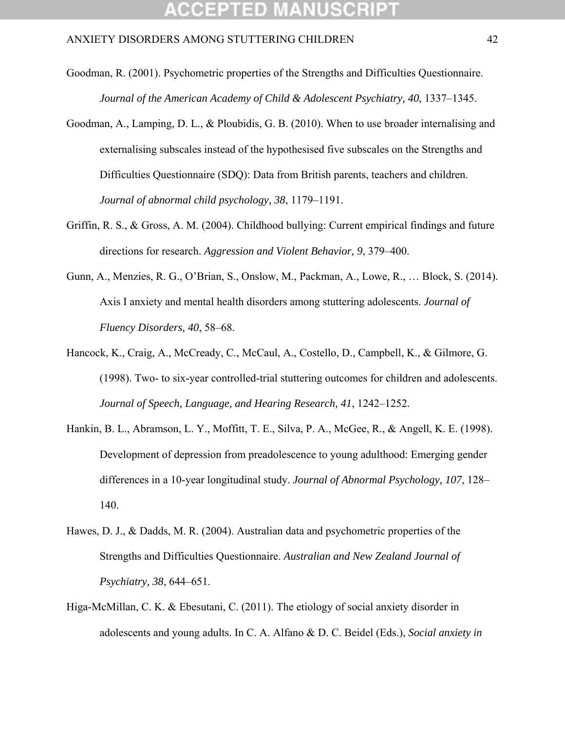Goodman, R. (2001). Psychometric properties of the Strengths and Difficulties Questionnaire. *Journal of the American Academy of Child & Adolescent Psychiatry, 40*, 1337–1345.

- Goodman, A., Lamping, D. L., & Ploubidis, G. B. (2010). When to use broader internalising and externalising subscales instead of the hypothesised five subscales on the Strengths and Difficulties Questionnaire (SDQ): Data from British parents, teachers and children. *Journal of abnormal child psychology, 38*, 1179–1191.
- Griffin, R. S., & Gross, A. M. (2004). Childhood bullying: Current empirical findings and future directions for research. *Aggression and Violent Behavior, 9*, 379–400.
- Gunn, A., Menzies, R. G., O'Brian, S., Onslow, M., Packman, A., Lowe, R., … Block, S. (2014). Axis I anxiety and mental health disorders among stuttering adolescents. *Journal of Fluency Disorders, 40*, 58–68.
- Hancock, K., Craig, A., McCready, C., McCaul, A., Costello, D., Campbell, K., & Gilmore, G. (1998). Two- to six-year controlled-trial stuttering outcomes for children and adolescents. *Journal of Speech, Language, and Hearing Research, 41*, 1242–1252.
- Hankin, B. L., Abramson, L. Y., Moffitt, T. E., Silva, P. A., McGee, R., & Angell, K. E. (1998). Development of depression from preadolescence to young adulthood: Emerging gender differences in a 10-year longitudinal study. *Journal of Abnormal Psychology, 107*, 128– 140.
- Hawes, D. J., & Dadds, M. R. (2004). Australian data and psychometric properties of the Strengths and Difficulties Questionnaire. *Australian and New Zealand Journal of Psychiatry, 38*, 644–651.
- Higa-McMillan, C. K. & Ebesutani, C. (2011). The etiology of social anxiety disorder in adolescents and young adults. In C. A. Alfano & D. C. Beidel (Eds.), *Social anxiety in*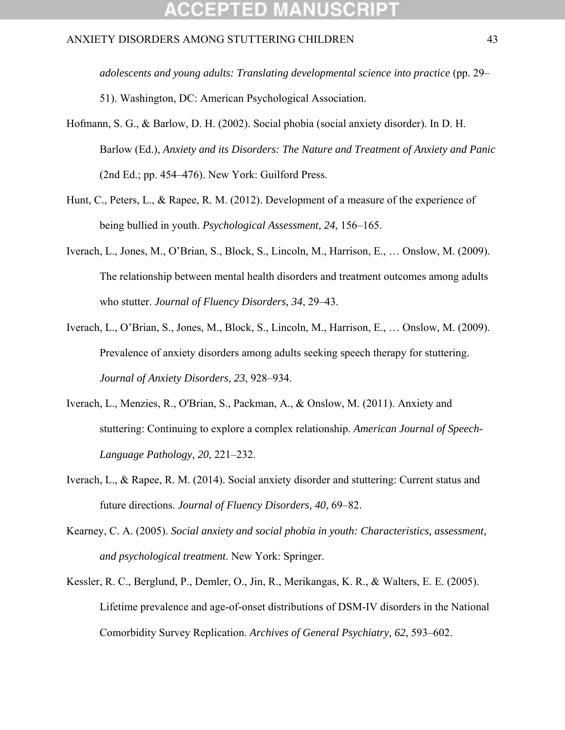## ANXIETY DISORDERS AMONG STUTTERING CHILDREN 43

*adolescents and young adults: Translating developmental science into practice* (pp. 29–

51). Washington, DC: American Psychological Association.

- Hofmann, S. G., & Barlow, D. H. (2002). Social phobia (social anxiety disorder). In D. H. Barlow (Ed.), *Anxiety and its Disorders: The Nature and Treatment of Anxiety and Panic*  (2nd Ed.; pp. 454–476). New York: Guilford Press.
- Hunt, C., Peters, L., & Rapee, R. M. (2012). Development of a measure of the experience of being bullied in youth. *Psychological Assessment, 24*, 156–165.
- Iverach, L., Jones, M., O'Brian, S., Block, S., Lincoln, M., Harrison, E., … Onslow, M. (2009). The relationship between mental health disorders and treatment outcomes among adults who stutter. *Journal of Fluency Disorders, 34*, 29–43.
- Iverach, L., O'Brian, S., Jones, M., Block, S., Lincoln, M., Harrison, E., … Onslow, M. (2009). Prevalence of anxiety disorders among adults seeking speech therapy for stuttering. *Journal of Anxiety Disorders, 23*, 928–934.
- Iverach, L., Menzies, R., O'Brian, S., Packman, A., & Onslow, M. (2011). Anxiety and stuttering: Continuing to explore a complex relationship. *American Journal of Speech-Language Pathology, 20*, 221–232.
- Iverach, L., & Rapee, R. M. (2014). Social anxiety disorder and stuttering: Current status and future directions. *Journal of Fluency Disorders, 40*, 69–82.
- Kearney, C. A. (2005). *Social anxiety and social phobia in youth: Characteristics, assessment, and psychological treatment*. New York: Springer.
- Kessler, R. C., Berglund, P., Demler, O., Jin, R., Merikangas, K. R., & Walters, E. E. (2005). Lifetime prevalence and age-of-onset distributions of DSM-IV disorders in the National Comorbidity Survey Replication. *Archives of General Psychiatry, 62*, 593–602.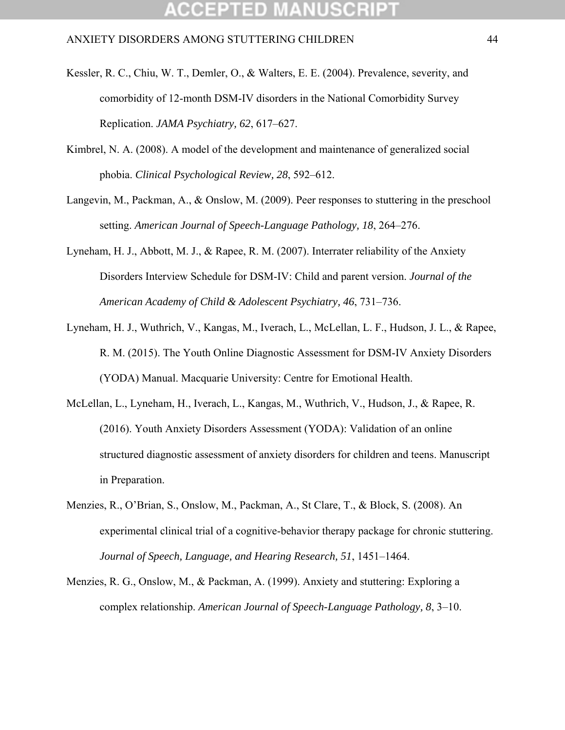- Kessler, R. C., Chiu, W. T., Demler, O., & Walters, E. E. (2004). Prevalence, severity, and comorbidity of 12-month DSM-IV disorders in the National Comorbidity Survey Replication. *JAMA Psychiatry, 62*, 617–627.
- Kimbrel, N. A. (2008). A model of the development and maintenance of generalized social phobia. *Clinical Psychological Review, 28*, 592–612.
- Langevin, M., Packman, A., & Onslow, M. (2009). Peer responses to stuttering in the preschool setting. *American Journal of Speech-Language Pathology, 18*, 264–276.
- Lyneham, H. J., Abbott, M. J., & Rapee, R. M. (2007). Interrater reliability of the Anxiety Disorders Interview Schedule for DSM-IV: Child and parent version. *Journal of the American Academy of Child & Adolescent Psychiatry, 46*, 731–736.
- Lyneham, H. J., Wuthrich, V., Kangas, M., Iverach, L., McLellan, L. F., Hudson, J. L., & Rapee, R. M. (2015). The Youth Online Diagnostic Assessment for DSM-IV Anxiety Disorders (YODA) Manual. Macquarie University: Centre for Emotional Health.
- McLellan, L., Lyneham, H., Iverach, L., Kangas, M., Wuthrich, V., Hudson, J., & Rapee, R. (2016). Youth Anxiety Disorders Assessment (YODA): Validation of an online structured diagnostic assessment of anxiety disorders for children and teens. Manuscript in Preparation.
- Menzies, R., O'Brian, S., Onslow, M., Packman, A., St Clare, T., & Block, S. (2008). An experimental clinical trial of a cognitive-behavior therapy package for chronic stuttering. *Journal of Speech, Language, and Hearing Research, 51*, 1451–1464.
- Menzies, R. G., Onslow, M., & Packman, A. (1999). Anxiety and stuttering: Exploring a complex relationship. *American Journal of Speech-Language Pathology, 8*, 3–10.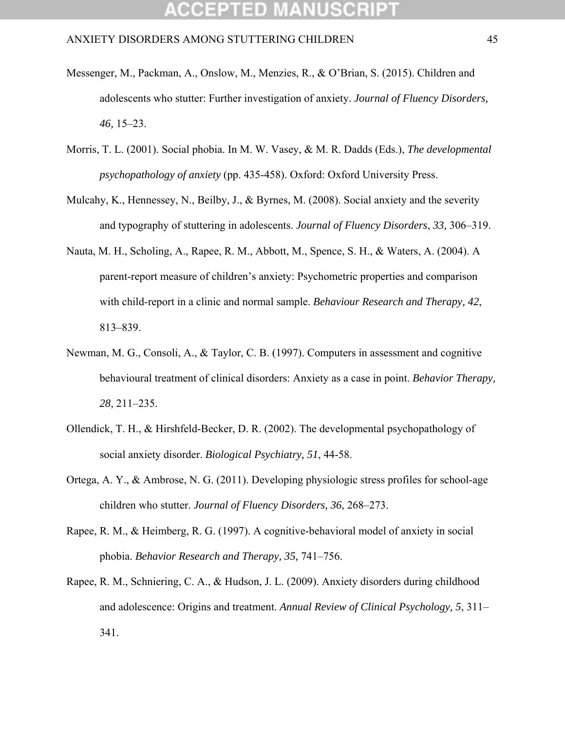- Messenger, M., Packman, A., Onslow, M., Menzies, R., & O'Brian, S. (2015). Children and adolescents who stutter: Further investigation of anxiety. *Journal of Fluency Disorders, 46,* 15–23.
- Morris, T. L. (2001). Social phobia. In M. W. Vasey, & M. R. Dadds (Eds.), *The developmental psychopathology of anxiety* (pp. 435-458). Oxford: Oxford University Press.
- Mulcahy, K., Hennessey, N., Beilby, J., & Byrnes, M. (2008). Social anxiety and the severity and typography of stuttering in adolescents. *Journal of Fluency Disorders*, *33,* 306–319.
- Nauta, M. H., Scholing, A., Rapee, R. M., Abbott, M., Spence, S. H., & Waters, A. (2004). A parent-report measure of children's anxiety: Psychometric properties and comparison with child-report in a clinic and normal sample. *Behaviour Research and Therapy, 42*, 813–839.
- Newman, M. G., Consoli, A., & Taylor, C. B. (1997). Computers in assessment and cognitive behavioural treatment of clinical disorders: Anxiety as a case in point. *Behavior Therapy, 28*, 211–235.
- Ollendick, T. H., & Hirshfeld-Becker, D. R. (2002). The developmental psychopathology of social anxiety disorder. *Biological Psychiatry, 51*, 44-58.
- Ortega, A. Y., & Ambrose, N. G. (2011). Developing physiologic stress profiles for school-age children who stutter. *Journal of Fluency Disorders, 36*, 268–273.
- Rapee, R. M., & Heimberg, R. G. (1997). A cognitive-behavioral model of anxiety in social phobia. *Behavior Research and Therapy, 35,* 741–756.
- Rapee, R. M., Schniering, C. A., & Hudson, J. L. (2009). Anxiety disorders during childhood and adolescence: Origins and treatment. *Annual Review of Clinical Psychology, 5*, 311– 341.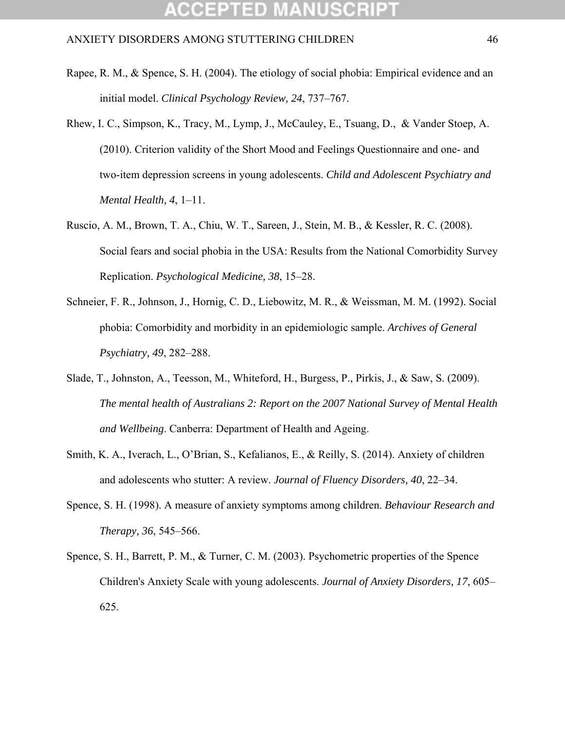- Rapee, R. M., & Spence, S. H. (2004). The etiology of social phobia: Empirical evidence and an initial model. *Clinical Psychology Review, 24*, 737–767.
- Rhew, I. C., Simpson, K., Tracy, M., Lymp, J., McCauley, E., Tsuang, D., & Vander Stoep, A. (2010). Criterion validity of the Short Mood and Feelings Questionnaire and one- and two-item depression screens in young adolescents. *Child and Adolescent Psychiatry and Mental Health, 4*, 1–11.
- Ruscio, A. M., Brown, T. A., Chiu, W. T., Sareen, J., Stein, M. B., & Kessler, R. C. (2008). Social fears and social phobia in the USA: Results from the National Comorbidity Survey Replication. *Psychological Medicine, 38*, 15–28.
- Schneier, F. R., Johnson, J., Hornig, C. D., Liebowitz, M. R., & Weissman, M. M. (1992). Social phobia: Comorbidity and morbidity in an epidemiologic sample. *Archives of General Psychiatry, 49*, 282–288.
- Slade, T., Johnston, A., Teesson, M., Whiteford, H., Burgess, P., Pirkis, J., & Saw, S. (2009). *The mental health of Australians 2: Report on the 2007 National Survey of Mental Health and Wellbeing*. Canberra: Department of Health and Ageing.
- Smith, K. A., Iverach, L., O'Brian, S., Kefalianos, E., & Reilly, S. (2014). Anxiety of children and adolescents who stutter: A review. *Journal of Fluency Disorders, 40*, 22–34.
- Spence, S. H. (1998). A measure of anxiety symptoms among children. *Behaviour Research and Therapy, 36*, 545–566.
- Spence, S. H., Barrett, P. M., & Turner, C. M. (2003). Psychometric properties of the Spence Children's Anxiety Scale with young adolescents. *Journal of Anxiety Disorders, 17*, 605– 625.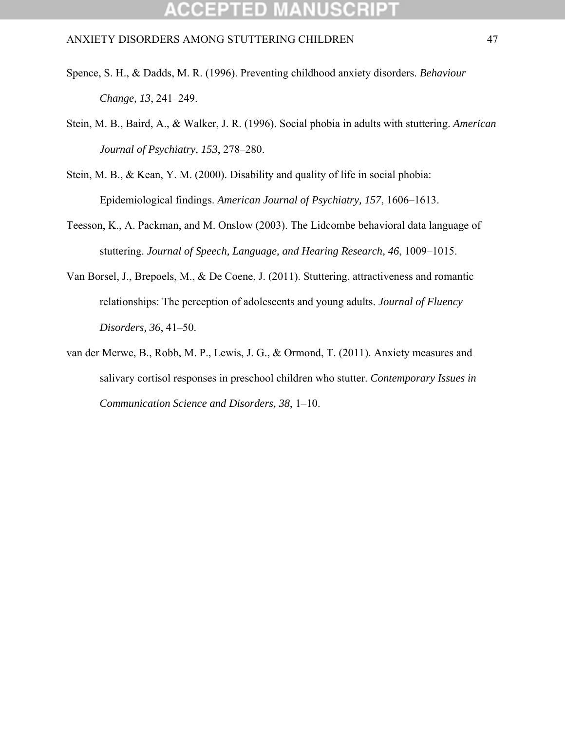- Spence, S. H., & Dadds, M. R. (1996). Preventing childhood anxiety disorders. *Behaviour Change, 13*, 241–249.
- Stein, M. B., Baird, A., & Walker, J. R. (1996). Social phobia in adults with stuttering. *American Journal of Psychiatry, 153*, 278–280.
- Stein, M. B., & Kean, Y. M. (2000). Disability and quality of life in social phobia: Epidemiological findings. *American Journal of Psychiatry, 157*, 1606–1613.
- Teesson, K., A. Packman, and M. Onslow (2003). The Lidcombe behavioral data language of stuttering. *Journal of Speech, Language, and Hearing Research, 46*, 1009–1015.
- Van Borsel, J., Brepoels, M., & De Coene, J. (2011). Stuttering, attractiveness and romantic relationships: The perception of adolescents and young adults. *Journal of Fluency Disorders, 36*, 41–50.
- van der Merwe, B., Robb, M. P., Lewis, J. G., & Ormond, T. (2011). Anxiety measures and salivary cortisol responses in preschool children who stutter. *Contemporary Issues in Communication Science and Disorders, 38*, 1–10.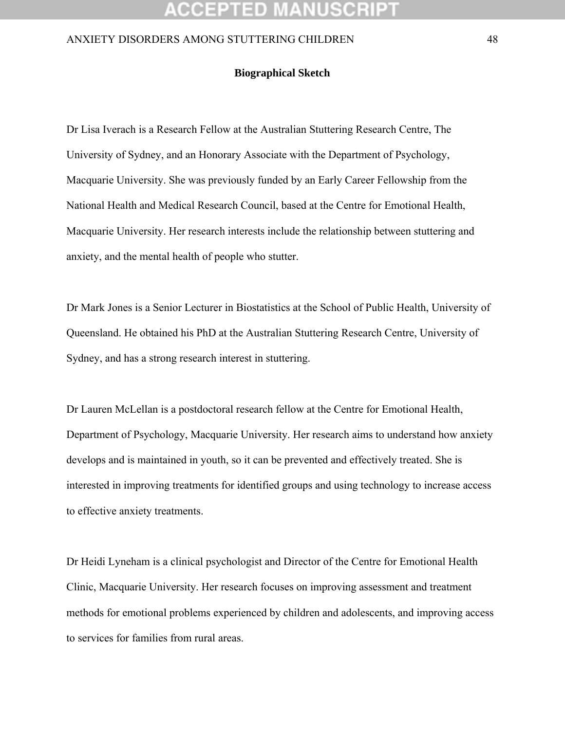## ANXIETY DISORDERS AMONG STUTTERING CHILDREN 48

## **Biographical Sketch**

Dr Lisa Iverach is a Research Fellow at the Australian Stuttering Research Centre, The University of Sydney, and an Honorary Associate with the Department of Psychology, Macquarie University. She was previously funded by an Early Career Fellowship from the National Health and Medical Research Council, based at the Centre for Emotional Health, Macquarie University. Her research interests include the relationship between stuttering and anxiety, and the mental health of people who stutter.

Dr Mark Jones is a Senior Lecturer in Biostatistics at the School of Public Health, University of Queensland. He obtained his PhD at the Australian Stuttering Research Centre, University of Sydney, and has a strong research interest in stuttering.

Dr Lauren McLellan is a postdoctoral research fellow at the Centre for Emotional Health, Department of Psychology, Macquarie University. Her research aims to understand how anxiety develops and is maintained in youth, so it can be prevented and effectively treated. She is interested in improving treatments for identified groups and using technology to increase access to effective anxiety treatments.

Dr Heidi Lyneham is a clinical psychologist and Director of the Centre for Emotional Health Clinic, Macquarie University. Her research focuses on improving assessment and treatment methods for emotional problems experienced by children and adolescents, and improving access to services for families from rural areas.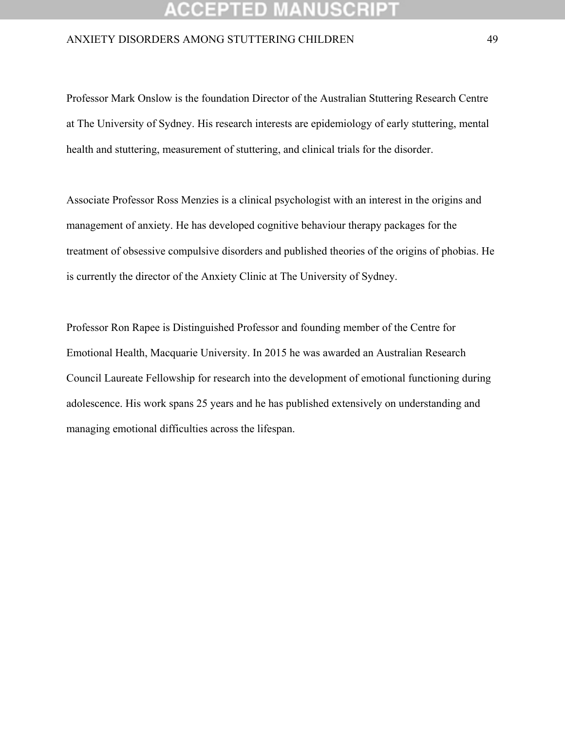## **CCEPTED**

## ANXIETY DISORDERS AMONG STUTTERING CHILDREN 49

Professor Mark Onslow is the foundation Director of the Australian Stuttering Research Centre at The University of Sydney. His research interests are epidemiology of early stuttering, mental health and stuttering, measurement of stuttering, and clinical trials for the disorder.

Associate Professor Ross Menzies is a clinical psychologist with an interest in the origins and management of anxiety. He has developed cognitive behaviour therapy packages for the treatment of obsessive compulsive disorders and published theories of the origins of phobias. He is currently the director of the Anxiety Clinic at The University of Sydney.

Professor Ron Rapee is Distinguished Professor and founding member of the Centre for Emotional Health, Macquarie University. In 2015 he was awarded an Australian Research Council Laureate Fellowship for research into the development of emotional functioning during adolescence. His work spans 25 years and he has published extensively on understanding and managing emotional difficulties across the lifespan.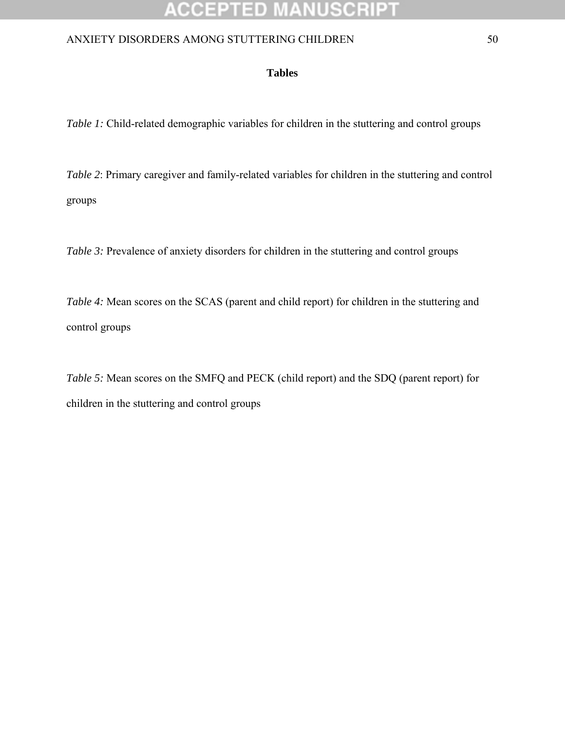#### **ANUSCRI** CCEPTED  $\left\vert \Gamma\right\vert$

## ANXIETY DISORDERS AMONG STUTTERING CHILDREN 50

## **Tables**

*Table 1:* Child-related demographic variables for children in the stuttering and control groups

*Table 2*: Primary caregiver and family-related variables for children in the stuttering and control groups

*Table 3:* Prevalence of anxiety disorders for children in the stuttering and control groups

*Table 4:* Mean scores on the SCAS (parent and child report) for children in the stuttering and control groups

*Table 5:* Mean scores on the SMFQ and PECK (child report) and the SDQ (parent report) for children in the stuttering and control groups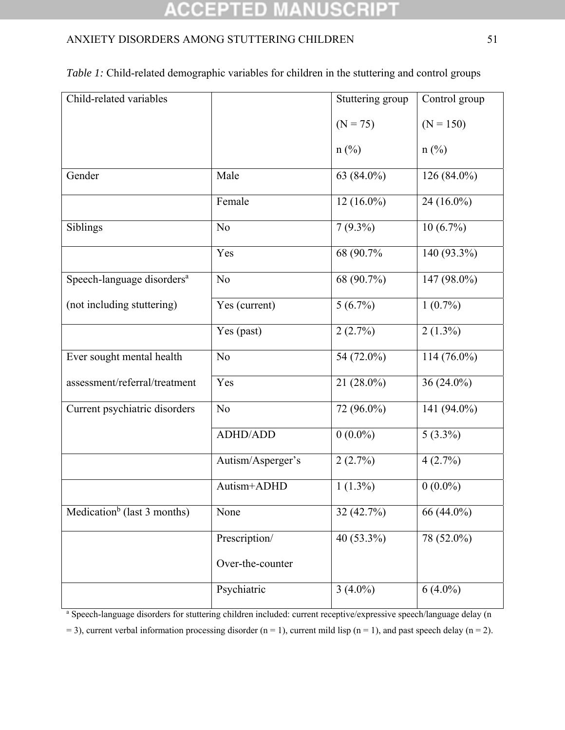| Table 1: Child-related demographic variables for children in the stuttering and control groups |  |
|------------------------------------------------------------------------------------------------|--|
|------------------------------------------------------------------------------------------------|--|

| Child-related variables                 |                   | Stuttering group | Control group |
|-----------------------------------------|-------------------|------------------|---------------|
|                                         |                   | $(N = 75)$       | $(N = 150)$   |
|                                         |                   | $n$ (%)          | $n$ (%)       |
| Gender                                  | Male              | 63 (84.0%)       | $126(84.0\%)$ |
|                                         | Female            | $12(16.0\%)$     | 24 (16.0%)    |
| Siblings                                | N <sub>o</sub>    | $7(9.3\%)$       | $10(6.7\%)$   |
|                                         | Yes               | 68 (90.7%)       | 140 (93.3%)   |
| Speech-language disorders <sup>a</sup>  | N <sub>o</sub>    | 68 (90.7%)       | 147 (98.0%)   |
| (not including stuttering)              | Yes (current)     | $5(6.7\%)$       | $1(0.7\%)$    |
|                                         | Yes (past)        | $2(2.7\%)$       | $2(1.3\%)$    |
| Ever sought mental health               | N <sub>o</sub>    | 54 (72.0%)       | 114 (76.0%)   |
| assessment/referral/treatment           | Yes               | 21 (28.0%)       | 36 $(24.0\%)$ |
| Current psychiatric disorders           | N <sub>o</sub>    | 72 (96.0%)       | 141 (94.0%)   |
|                                         | <b>ADHD/ADD</b>   | $0(0.0\%)$       | $5(3.3\%)$    |
|                                         | Autism/Asperger's | 2(2.7%)          | 4(2.7%)       |
|                                         | Autism+ADHD       | $1(1.3\%)$       | $0(0.0\%)$    |
| Medication <sup>b</sup> (last 3 months) | None              | 32 (42.7%)       | 66 (44.0%)    |
|                                         | Prescription/     | 40 (53.3%)       | 78 (52.0%)    |
|                                         | Over-the-counter  |                  |               |
|                                         | Psychiatric       | $3(4.0\%)$       | $6(4.0\%)$    |

a Speech-language disorders for stuttering children included: current receptive/expressive speech/language delay (n

 $= 3$ ), current verbal information processing disorder (n = 1), current mild lisp (n = 1), and past speech delay (n = 2).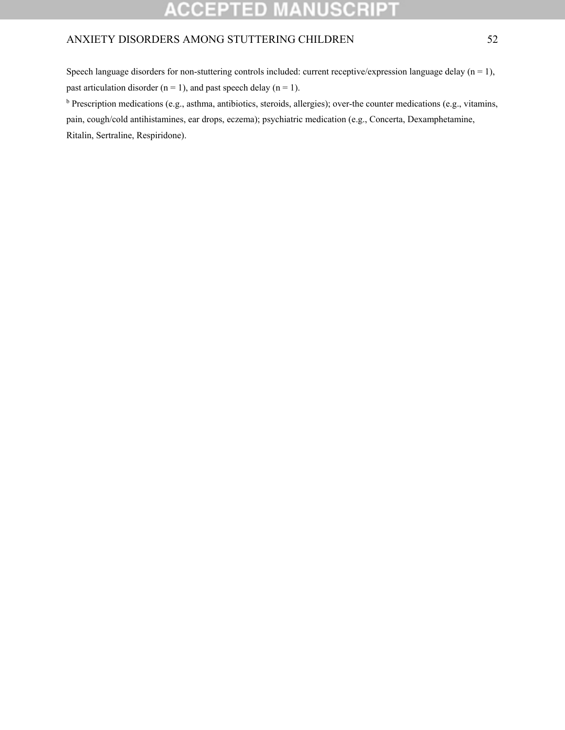# 0

## ANXIETY DISORDERS AMONG STUTTERING CHILDREN 52

<sup>b</sup> Prescription medications (e.g., asthma, antibiotics, steroids, allergies); over-the counter medications (e.g., vitamins, pain, cough/cold antihistamines, ear drops, eczema); psychiatric medication (e.g., Concerta, Dexamphetamine, Ritalin, Sertraline, Respiridone).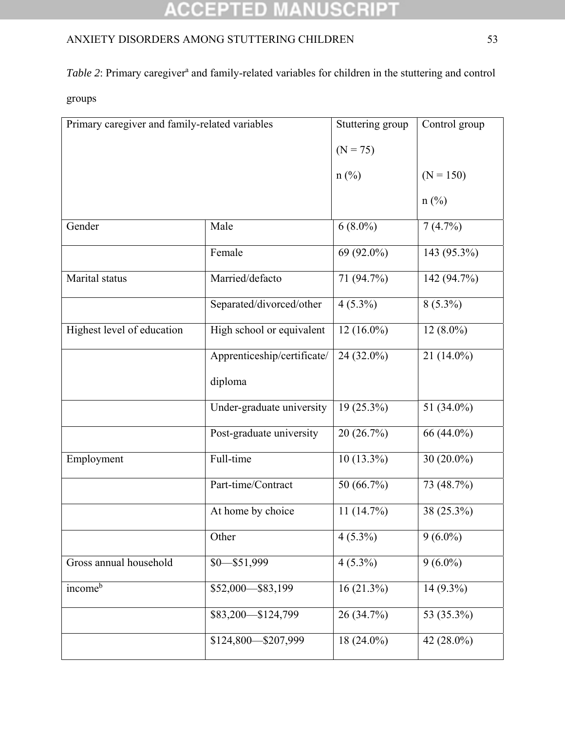## Table 2: Primary caregiver<sup>a</sup> and family-related variables for children in the stuttering and control

groups

| Primary caregiver and family-related variables | Stuttering group            | Control group |                |
|------------------------------------------------|-----------------------------|---------------|----------------|
|                                                |                             | $(N = 75)$    |                |
|                                                |                             | $n$ (%)       | $(N = 150)$    |
|                                                |                             |               | $n(^{0}/_{0})$ |
| Gender                                         | Male                        | $6(8.0\%)$    | 7(4.7%)        |
|                                                | Female                      | 69 (92.0%)    | 143 (95.3%)    |
| Marital status                                 | Married/defacto             | 71 (94.7%)    | 142 (94.7%)    |
|                                                | Separated/divorced/other    | $4(5.3\%)$    | $8(5.3\%)$     |
| Highest level of education                     | High school or equivalent   | $12(16.0\%)$  | $12(8.0\%)$    |
|                                                | Apprenticeship/certificate/ | 24 (32.0%)    | 21 (14.0%)     |
|                                                | diploma                     |               |                |
|                                                | Under-graduate university   | $19(25.3\%)$  | 51 (34.0%)     |
|                                                | Post-graduate university    | 20 (26.7%)    | 66 (44.0%)     |
| Employment                                     | Full-time                   | $10(13.3\%)$  | 30 (20.0%)     |
|                                                | Part-time/Contract          | 50 (66.7%)    | 73 (48.7%)     |
|                                                | At home by choice           | 11(14.7%)     | 38 (25.3%)     |
|                                                | Other                       | $4(5.3\%)$    | $9(6.0\%)$     |
| Gross annual household                         | $$0 - $51,999$              | $4(5.3\%)$    | $9(6.0\%)$     |
| income <sup>b</sup>                            | \$52,000 - \$83,199         | 16(21.3%)     | 14 (9.3%)      |
|                                                | \$83,200 - \$124,799        | 26 (34.7%)    | 53 (35.3%)     |
|                                                | $18(24.0\%)$                | 42 $(28.0\%)$ |                |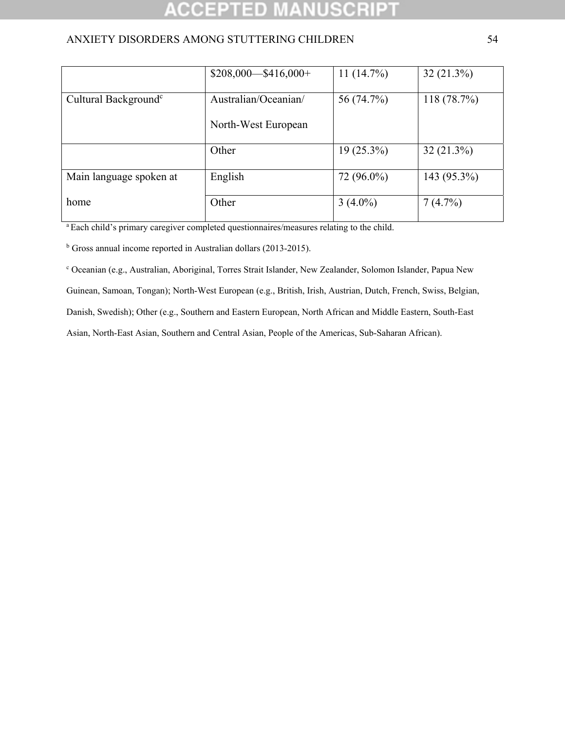# ۰

## ANXIETY DISORDERS AMONG STUTTERING CHILDREN 54

|                                  | $$208,000$ - \$416,000+ | 11 $(14.7%)$ | 32(21.3%)     |
|----------------------------------|-------------------------|--------------|---------------|
|                                  |                         |              |               |
| Cultural Background <sup>c</sup> | Australian/Oceanian/    | 56 (74.7%)   | 118(78.7%)    |
|                                  |                         |              |               |
|                                  | North-West European     |              |               |
|                                  |                         |              |               |
|                                  | Other                   | $19(25.3\%)$ | 32(21.3%)     |
|                                  |                         |              |               |
| Main language spoken at          | English                 | 72 (96.0%)   | $143(95.3\%)$ |
|                                  |                         |              |               |
| home                             | Other                   | $3(4.0\%)$   | 7(4.7%)       |
|                                  |                         |              |               |
|                                  |                         |              |               |

a Each child's primary caregiver completed questionnaires/measures relating to the child.

b Gross annual income reported in Australian dollars (2013-2015).

c Oceanian (e.g., Australian, Aboriginal, Torres Strait Islander, New Zealander, Solomon Islander, Papua New Guinean, Samoan, Tongan); North-West European (e.g., British, Irish, Austrian, Dutch, French, Swiss, Belgian, Danish, Swedish); Other (e.g., Southern and Eastern European, North African and Middle Eastern, South-East Asian, North-East Asian, Southern and Central Asian, People of the Americas, Sub-Saharan African).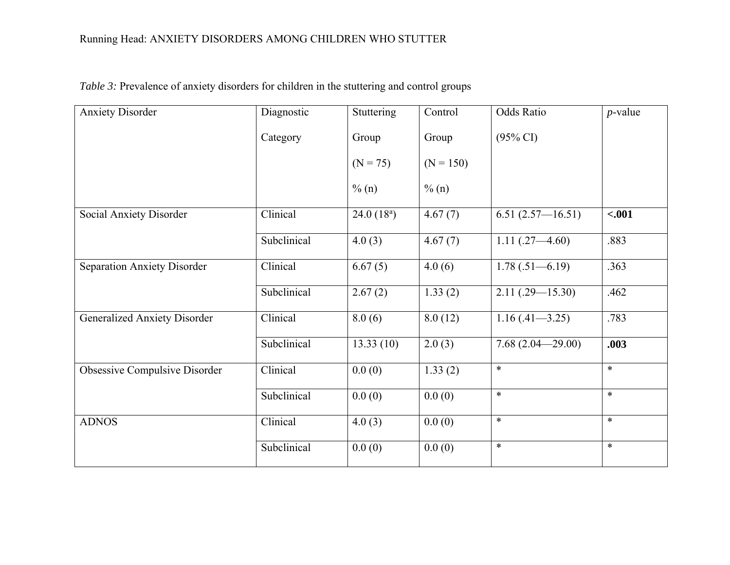## Running Head: ANXIETY DISORDERS AMONG CHILDREN WHO STUTTER

| <b>Anxiety Disorder</b>             | Diagnostic  | <b>Stuttering</b> | Control     | Odds Ratio           | $p$ -value |
|-------------------------------------|-------------|-------------------|-------------|----------------------|------------|
|                                     | Category    | Group             | Group       | $(95\% \text{ CI})$  |            |
|                                     |             | $(N = 75)$        | $(N = 150)$ |                      |            |
|                                     |             | $\% (n)$          | $\%$ (n)    |                      |            |
| Social Anxiety Disorder             | Clinical    | 24.0 $(18^a)$     | 4.67(7)     | $6.51(2.57 - 16.51)$ | $-.001$    |
|                                     | Subclinical | 4.0(3)            | 4.67(7)     | $1.11(.27 - 4.60)$   | .883       |
| Separation Anxiety Disorder         | Clinical    | 6.67(5)           | 4.0(6)      | $1.78(.51 - 6.19)$   | .363       |
|                                     | Subclinical | 2.67(2)           | 1.33(2)     | $2.11(.29 - 15.30)$  | .462       |
| <b>Generalized Anxiety Disorder</b> | Clinical    | 8.0(6)            | 8.0(12)     | $1.16(.41 - 3.25)$   | .783       |
|                                     | Subclinical | 13.33(10)         | 2.0(3)      | $7.68(2.04 - 29.00)$ | .003       |
| Obsessive Compulsive Disorder       | Clinical    | 0.0(0)            | 1.33(2)     | $\ast$               | $\ast$     |
|                                     | Subclinical | 0.0(0)            | 0.0(0)      | $\ast$               | $\ast$     |
| <b>ADNOS</b>                        | Clinical    | 4.0(3)            | 0.0(0)      | $\ast$               | $\ast$     |
|                                     | Subclinical | 0.0(0)            | 0.0(0)      | $\ast$               | $\ast$     |

*Table 3:* Prevalence of anxiety disorders for children in the stuttering and control groups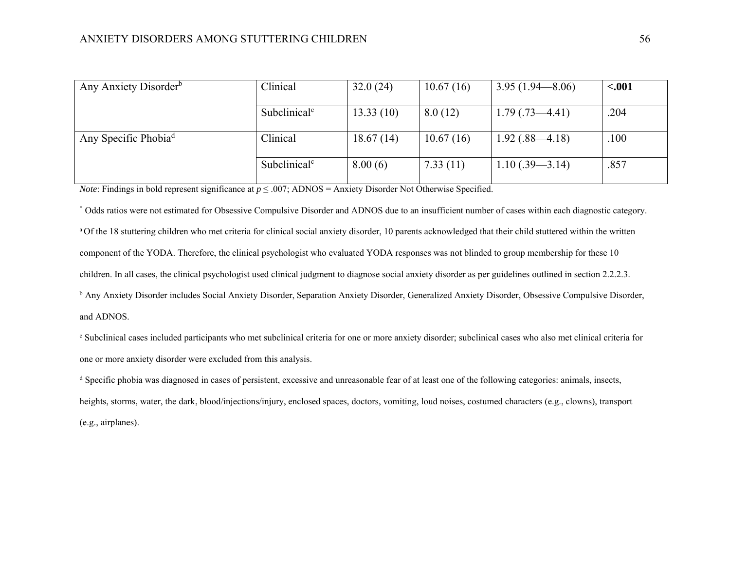| Any Anxiety Disorder <sup>b</sup> | Clinical                 | 32.0(24)  | 10.67(16) | $3.95(1.94 - 8.06)$ | $-.001$ |
|-----------------------------------|--------------------------|-----------|-----------|---------------------|---------|
|                                   | Subclinical <sup>c</sup> | 13.33(10) | 8.0(12)   | $1.79(.73-4.41)$    | .204    |
| Any Specific Phobia <sup>d</sup>  | Clinical                 | 18.67(14) | 10.67(16) | $1.92(.88 - 4.18)$  | .100    |
|                                   | Subclinical <sup>c</sup> | 8.00(6)   | 7.33(11)  | $1.10(.39 - 3.14)$  | .857    |

*Note*: Findings in bold represent significance at *p* ≤ .007; ADNOS = Anxiety Disorder Not Otherwise Specified.

\* Odds ratios were not estimated for Obsessive Compulsive Disorder and ADNOS due to an insufficient number of cases within each diagnostic category. <sup>a</sup> Of the 18 stuttering children who met criteria for clinical social anxiety disorder, 10 parents acknowledged that their child stuttered within the written component of the YODA. Therefore, the clinical psychologist who evaluated YODA responses was not blinded to group membership for these 10 children. In all cases, the clinical psychologist used clinical judgment to diagnose social anxiety disorder as per guidelines outlined in section 2.2.2.3. <sup>b</sup> Any Anxiety Disorder includes Social Anxiety Disorder, Separation Anxiety Disorder, Generalized Anxiety Disorder, Obsessive Compulsive Disorder, and ADNOS.

c Subclinical cases included participants who met subclinical criteria for one or more anxiety disorder; subclinical cases who also met clinical criteria for one or more anxiety disorder were excluded from this analysis.

d Specific phobia was diagnosed in cases of persistent, excessive and unreasonable fear of at least one of the following categories: animals, insects, heights, storms, water, the dark, blood/injections/injury, enclosed spaces, doctors, vomiting, loud noises, costumed characters (e.g., clowns), transport (e.g., airplanes).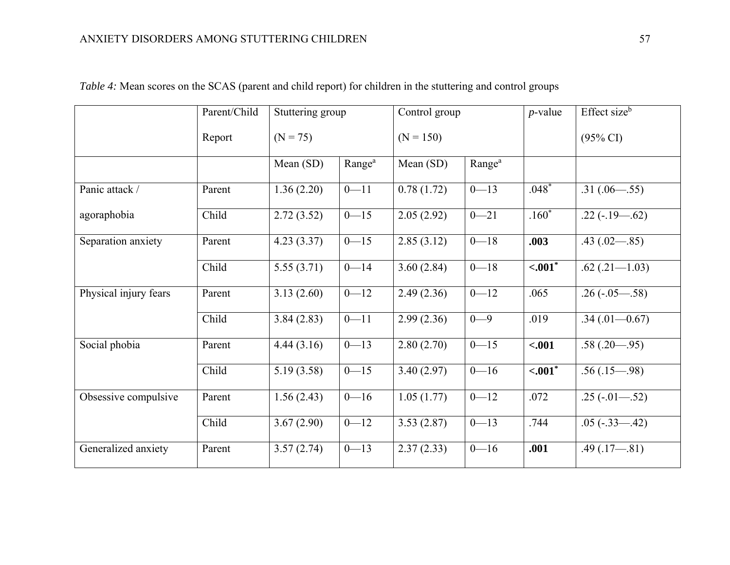|                       | Parent/Child | Stuttering group |                    | Control group |                    | $p$ -value | Effect size <sup>b</sup> |
|-----------------------|--------------|------------------|--------------------|---------------|--------------------|------------|--------------------------|
|                       | Report       | $(N = 75)$       |                    |               | $(N = 150)$        |            | $(95\% \text{ CI})$      |
|                       |              | Mean (SD)        | Range <sup>a</sup> | Mean (SD)     | Range <sup>a</sup> |            |                          |
| Panic attack /        | Parent       | 1.36(2.20)       | $0 - 11$           | 0.78(1.72)    | $0 - 13$           | $.048*$    | $.31(.06 - .55)$         |
| agoraphobia           | Child        | 2.72(3.52)       | $0 - 15$           | 2.05(2.92)    | $0 - 21$           | $.160*$    | $.22$ ( $-.19$ — $.62$ ) |
| Separation anxiety    | Parent       | 4.23(3.37)       | $0 - 15$           | 2.85(3.12)    | $0 - 18$           | .003       | $.43(.02 - .85)$         |
|                       | Child        | 5.55(3.71)       | $0 - 14$           | 3.60(2.84)    | $0 - 18$           | $< .001$ * | $.62(.21 - 1.03)$        |
| Physical injury fears | Parent       | 3.13(2.60)       | $0 - 12$           | 2.49(2.36)    | $0 - 12$           | .065       | $.26(-0.5-0.58)$         |
|                       | Child        | 3.84(2.83)       | $0 - 11$           | 2.99(2.36)    | $0 - 9$            | .019       | $.34(.01 - 0.67)$        |
| Social phobia         | Parent       | 4.44(3.16)       | $0 - 13$           | 2.80(2.70)    | $0 - 15$           | $-.001$    | $.58(.20-.95)$           |
|                       | Child        | 5.19(3.58)       | $0 - 15$           | 3.40(2.97)    | $0 - 16$           | $< .001$ * | $.56(.15 - .98)$         |
| Obsessive compulsive  | Parent       | 1.56(2.43)       | $0 - 16$           | 1.05(1.77)    | $0 - 12$           | .072       | $.25$ ( $-.01$ — $.52$ ) |
|                       | Child        | 3.67(2.90)       | $0 - 12$           | 3.53(2.87)    | $0 - 13$           | .744       | $.05$ ( $-.33$ — $.42$ ) |
| Generalized anxiety   | Parent       | 3.57(2.74)       | $0 - 13$           | 2.37(2.33)    | $0 - 16$           | .001       | $.49$ ( $.17 - .81$ )    |

| Table 4: Mean scores on the SCAS (parent and child report) for children in the stuttering and control groups |  |  |
|--------------------------------------------------------------------------------------------------------------|--|--|
|                                                                                                              |  |  |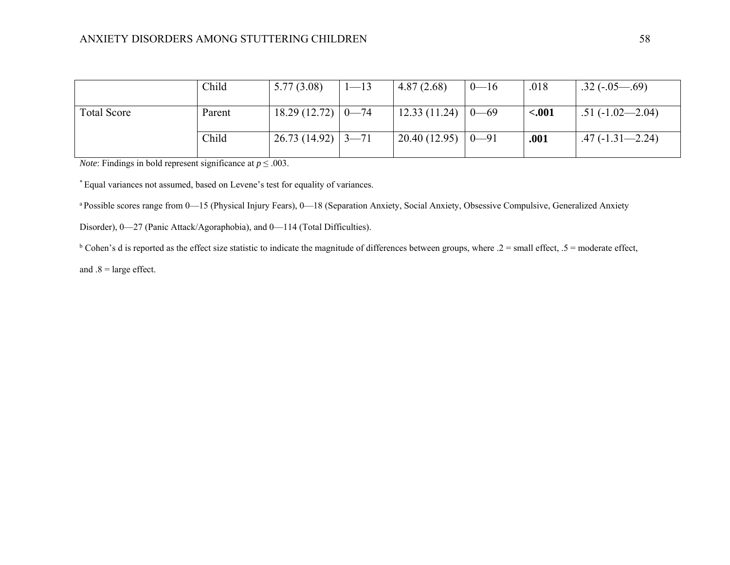|                    | Child  | 5.77(3.08)                 | $1 - 13$ | 4.87(2.68)             | $0 - 16$ | .018    | $.32(-.05-0.69)$  |
|--------------------|--------|----------------------------|----------|------------------------|----------|---------|-------------------|
| <b>Total Score</b> | Parent | $18.29(12.72)$ $\mid$ 0-74 |          | $12.33(11.24)$ $ 0-69$ |          | $-.001$ | $.51(-1.02-2.04)$ |
|                    | Child  | $26.73(14.92)$ $3-71$      |          | $20.40(12.95)$ $ 0-91$ |          | .001    | $.47(-1.31-2.24)$ |

*Note*: Findings in bold represent significance at  $p \leq 0.003$ .

\* Equal variances not assumed, based on Levene's test for equality of variances.

a Possible scores range from 0—15 (Physical Injury Fears), 0—18 (Separation Anxiety, Social Anxiety, Obsessive Compulsive, Generalized Anxiety

Disorder), 0—27 (Panic Attack/Agoraphobia), and 0—114 (Total Difficulties).

 $<sup>b</sup>$  Cohen's d is reported as the effect size statistic to indicate the magnitude of differences between groups, where .2 = small effect, .5 = moderate effect,</sup>

and  $.8$  = large effect.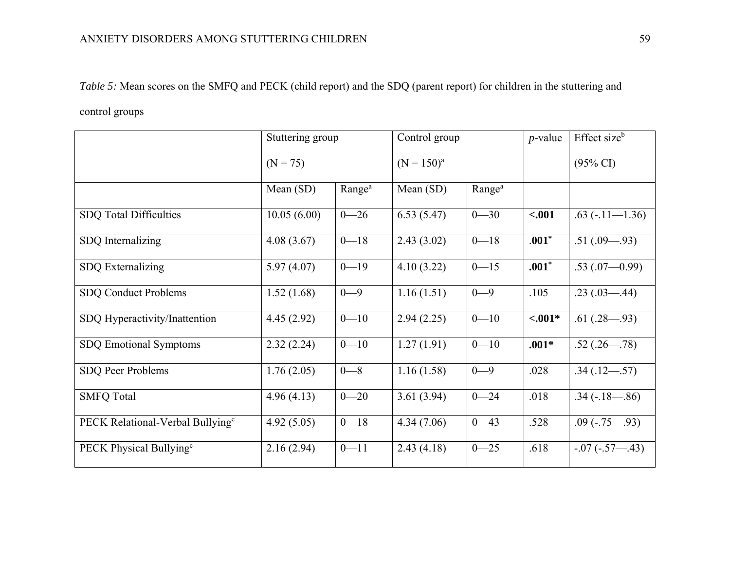*Table 5:* Mean scores on the SMFQ and PECK (child report) and the SDQ (parent report) for children in the stuttering and

control groups

|                                              | Stuttering group |                    | Control group   |                    | $p$ -value | Effect size <sup>b</sup>  |
|----------------------------------------------|------------------|--------------------|-----------------|--------------------|------------|---------------------------|
|                                              | $(N = 75)$       |                    | $(N = 150)^{a}$ |                    |            | $(95\% \text{ CI})$       |
|                                              | Mean $(SD)$      | Range <sup>a</sup> | Mean (SD)       | Range <sup>a</sup> |            |                           |
| SDQ Total Difficulties                       | 10.05(6.00)      | $0 - 26$           | 6.53(5.47)      | $0 - 30$           | $-.001$    | $.63$ ( $-.11$ — $1.36$ ) |
| SDQ Internalizing                            | 4.08(3.67)       | $0 - 18$           | 2.43(3.02)      | $0 - 18$           | $.001*$    | $.51(.09-.93)$            |
| SDQ Externalizing                            | 5.97(4.07)       | $0 - 19$           | 4.10(3.22)      | $0 - 15$           | $.001*$    | $.53(.07 - 0.99)$         |
| <b>SDQ Conduct Problems</b>                  | 1.52(1.68)       | $0 - 9$            | 1.16(1.51)      | $0 - 9$            | .105       | $.23(.03 - .44)$          |
| SDQ Hyperactivity/Inattention                | 4.45(2.92)       | $0 - 10$           | 2.94(2.25)      | $0 - 10$           | $-.001*$   | $.61(.28 - .93)$          |
| <b>SDQ</b> Emotional Symptoms                | 2.32(2.24)       | $0 - 10$           | 1.27(1.91)      | $0 - 10$           | $.001*$    | $.52(.26 - .78)$          |
| SDQ Peer Problems                            | 1.76(2.05)       | $0 - 8$            | 1.16(1.58)      | $0 - 9$            | .028       | $.34(.12-.57)$            |
| <b>SMFQ Total</b>                            | 4.96(4.13)       | $0 - 20$           | 3.61(3.94)      | $0 - 24$           | .018       | $.34(-.18-.86)$           |
| PECK Relational-Verbal Bullying <sup>c</sup> | 4.92(5.05)       | $0 - 18$           | 4.34(7.06)      | $0 - 43$           | .528       | $.09$ ( $-.75$ — $.93$ )  |
| PECK Physical Bullying <sup>c</sup>          | 2.16(2.94)       | $0 - 11$           | 2.43(4.18)      | $0 - 25$           | .618       | $-.07(-.57-0.43)$         |